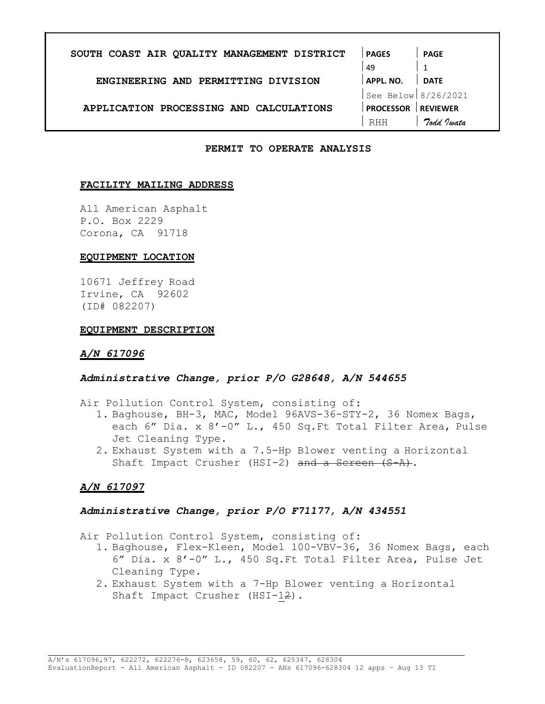| SOUTH COAST AIR QUALITY MANAGEMENT DISTRICT | <b>PAGES</b>        | <b>PAGE</b>     |
|---------------------------------------------|---------------------|-----------------|
|                                             | 49                  |                 |
| ENGINEERING AND PERMITTING DIVISION         | <b>APPL. NO.</b>    | <b>DATE</b>     |
|                                             | See Below 8/26/2021 |                 |
| APPLICATION PROCESSING AND CALCULATIONS     | <b>PROCESSOR</b>    | <b>REVIEWER</b> |
|                                             | RHH                 | Todd Jwata      |

#### PERMIT TO OPERATE ANALYSIS

#### FACILITY MAILING ADDRESS

All American Asphalt P.O. Box 2229 Corona, CA 91718

#### EQUIPMENT LOCATION

10671 Jeffrey Road Irvine, CA 92602 (ID# 082207)

#### EQUIPMENT DESCRIPTION

#### A/N 617096

#### Administrative Change, prior P/O G28648, A/N 544655

- Air Pollution Control System, consisting of:
	- 1. Baghouse, BH-3, MAC, Model 96AVS-36-STY-2, 36 Nomex Bags, each 6" Dia. x 8'-0" L., 450 Sq.Ft Total Filter Area, Pulse Jet Cleaning Type.
	- 2. Exhaust System with a 7.5-Hp Blower venting a Horizontal Shaft Impact Crusher (HSI-2) and a Screen (S-A).

#### A/N 617097

#### Administrative Change, prior P/O F71177, A/N 434551

Air Pollution Control System, consisting of:

- 1. Baghouse, Flex-Kleen, Model 100-VBV-36, 36 Nomex Bags, each 6" Dia. x 8'-0" L., 450 Sq.Ft Total Filter Area, Pulse Jet Cleaning Type.
- 2. Exhaust System with a 7-Hp Blower venting a Horizontal Shaft Impact Crusher (HSI-12).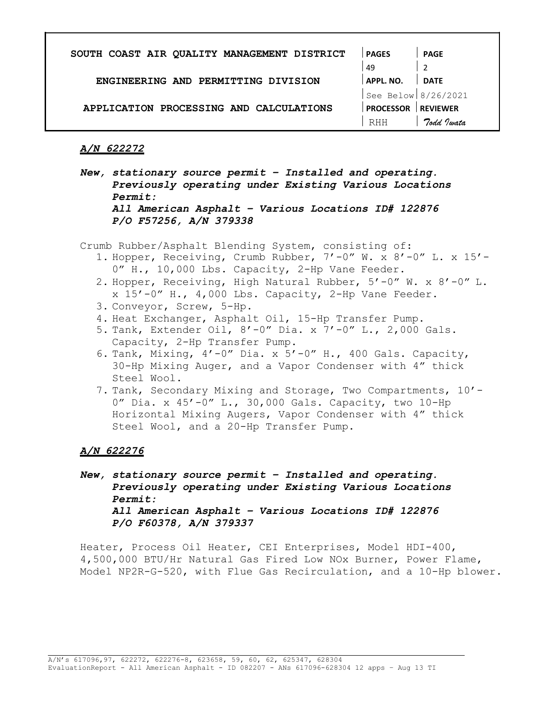| SOUTH COAST AIR QUALITY MANAGEMENT DISTRICT | <b>PAGES</b>        | <b>PAGE</b>     |
|---------------------------------------------|---------------------|-----------------|
|                                             | 49                  |                 |
| ENGINEERING AND PERMITTING DIVISION         | APPL. NO.           | <b>DATE</b>     |
|                                             | See Below 8/26/2021 |                 |
| APPLICATION PROCESSING AND CALCULATIONS     | <b>PROCESSOR</b>    | <b>REVIEWER</b> |
|                                             | RHH                 | Todd Justa      |

New, stationary source permit – Installed and operating. Previously operating under Existing Various Locations Permit: All American Asphalt – Various Locations ID# 122876 P/O F57256, A/N 379338

Crumb Rubber/Asphalt Blending System, consisting of:

- 1. Hopper, Receiving, Crumb Rubber, 7'-0" W. x 8'-0" L. x 15'- 0" H., 10,000 Lbs. Capacity, 2-Hp Vane Feeder.
- 2. Hopper, Receiving, High Natural Rubber, 5'-0" W. x 8'-0" L. x 15'-0" H., 4,000 Lbs. Capacity, 2-Hp Vane Feeder.
- 3. Conveyor, Screw, 5-Hp.
- 4. Heat Exchanger, Asphalt Oil, 15-Hp Transfer Pump.
- 5. Tank, Extender Oil, 8'-0" Dia. x 7'-0" L., 2,000 Gals. Capacity, 2-Hp Transfer Pump.
- 6. Tank, Mixing,  $4'$ -0" Dia. x  $5'$ -0" H., 400 Gals. Capacity, 30-Hp Mixing Auger, and a Vapor Condenser with 4" thick Steel Wool.
- 7. Tank, Secondary Mixing and Storage, Two Compartments, 10'- 0" Dia. x 45'-0" L., 30,000 Gals. Capacity, two 10-Hp Horizontal Mixing Augers, Vapor Condenser with 4" thick Steel Wool, and a 20-Hp Transfer Pump.

## A/N 622276

New, stationary source permit – Installed and operating. Previously operating under Existing Various Locations Permit: All American Asphalt – Various Locations ID# 122876 P/O F60378, A/N 379337

Heater, Process Oil Heater, CEI Enterprises, Model HDI-400, 4,500,000 BTU/Hr Natural Gas Fired Low NOx Burner, Power Flame, Model NP2R-G-520, with Flue Gas Recirculation, and a 10-Hp blower.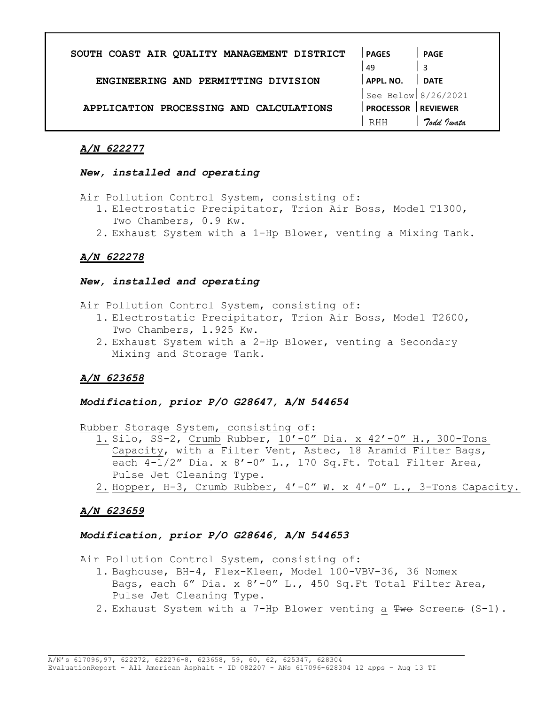| SOUTH COAST AIR QUALITY MANAGEMENT DISTRICT | <b>PAGES</b>        | <b>PAGE</b>     |
|---------------------------------------------|---------------------|-----------------|
|                                             | 49                  |                 |
| ENGINEERING AND PERMITTING DIVISION         | APPL. NO.           | <b>DATE</b>     |
|                                             | See Below 8/26/2021 |                 |
| APPLICATION PROCESSING AND CALCULATIONS     | <b>PROCESSOR</b>    | <b>REVIEWER</b> |
|                                             | <b>RHH</b>          | Todd Justa      |

#### New, installed and operating

Air Pollution Control System, consisting of:

- 1. Electrostatic Precipitator, Trion Air Boss, Model T1300, Two Chambers, 0.9 Kw.
- 2. Exhaust System with a 1-Hp Blower, venting a Mixing Tank.

# A/N 622278

## New, installed and operating

Air Pollution Control System, consisting of:

- 1. Electrostatic Precipitator, Trion Air Boss, Model T2600, Two Chambers, 1.925 Kw.
- 2. Exhaust System with a 2-Hp Blower, venting a Secondary Mixing and Storage Tank.

# A/N 623658

## Modification, prior P/O G28647, A/N 544654

Rubber Storage System, consisting of:

- 1. Silo, SS-2, Crumb Rubber, 10'-0" Dia. x 42'-0" H., 300-Tons Capacity, with a Filter Vent, Astec, 18 Aramid Filter Bags, each 4-1/2" Dia. x 8'-0" L., 170 Sq.Ft. Total Filter Area, Pulse Jet Cleaning Type.
- 2. Hopper, H-3, Crumb Rubber, 4'-0" W. x 4'-0" L., 3-Tons Capacity.

# A/N 623659

## Modification, prior P/O G28646, A/N 544653

Air Pollution Control System, consisting of:

- 1. Baghouse, BH-4, Flex-Kleen, Model 100-VBV-36, 36 Nomex Bags, each 6" Dia. x 8'-0" L., 450 Sq.Ft Total Filter Area, Pulse Jet Cleaning Type.
- 2. Exhaust System with a 7-Hp Blower venting a Two Screens (S-1).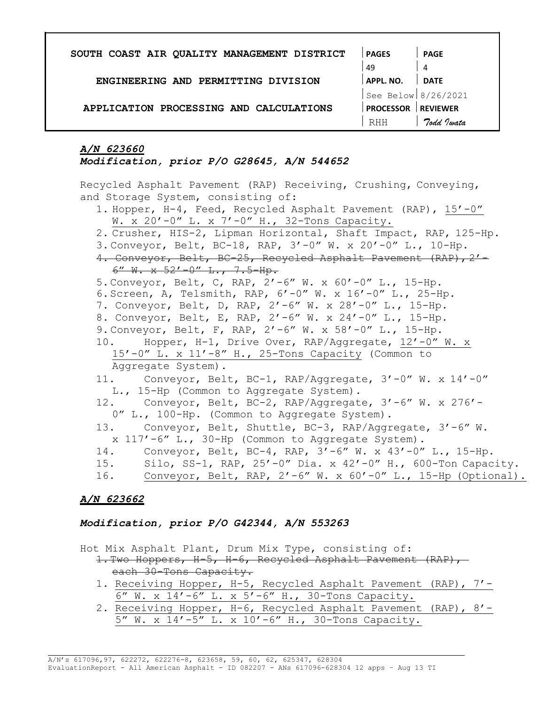| SOUTH COAST AIR QUALITY MANAGEMENT DISTRICT | <b>PAGES</b>        | PAGE            |
|---------------------------------------------|---------------------|-----------------|
|                                             | 49                  | 4               |
| ENGINEERING AND PERMITTING DIVISION         | APPL. NO.           | <b>DATE</b>     |
|                                             | See Below 8/26/2021 |                 |
| APPLICATION PROCESSING AND CALCULATIONS     | <b>PROCESSOR</b>    | <b>REVIEWER</b> |
|                                             | RHH                 | Todd Justa      |

Modification, prior P/O G28645, A/N 544652

Recycled Asphalt Pavement (RAP) Receiving, Crushing, Conveying, and Storage System, consisting of:

- 1. Hopper, H-4, Feed, Recycled Asphalt Pavement (RAP), 15'-0" W. x 20'-0" L. x 7'-0" H., 32-Tons Capacity.
- 2. Crusher, HIS-2, Lipman Horizontal, Shaft Impact, RAP, 125-Hp.
- 3. Conveyor, Belt, BC-18, RAP, 3'-0" W. x 20'-0" L., 10-Hp.
- 4. Conveyor, Belt, BC-25, Recycled Asphalt Pavement (RAP), 2'- $6''$  W.  $x$   $52'$   $-0''$  L.,  $7.5$  -Hp.
- 5. Conveyor, Belt, C, RAP, 2'-6" W. x 60'-0" L., 15-Hp.
- 6. Screen, A, Telsmith, RAP, 6'-0" W. x 16'-0" L., 25-Hp.
- 7. Conveyor, Belt, D, RAP, 2'-6" W. x 28'-0" L., 15-Hp.
- 8. Conveyor, Belt, E, RAP, 2'-6" W. x 24'-0" L., 15-Hp.
- 9. Conveyor, Belt, F, RAP, 2'-6" W. x 58'-0" L., 15-Hp.
- 10. Hopper, H-1, Drive Over, RAP/Aggregate, 12'-0" W. x 15'-0" L. x 11'-8" H., 25-Tons Capacity (Common to Aggregate System).
- 11. Conveyor, Belt, BC-1, RAP/Aggregate, 3'-0" W. x 14'-0" L., 15-Hp (Common to Aggregate System).
- 12. Conveyor, Belt, BC-2, RAP/Aggregate, 3'-6" W. x 276'- 0" L., 100-Hp. (Common to Aggregate System).
- 13. Conveyor, Belt, Shuttle, BC-3, RAP/Aggregate, 3'-6" W. x 117'-6" L., 30-Hp (Common to Aggregate System).
- 14. Conveyor, Belt, BC-4, RAP, 3'-6" W. x 43'-0" L., 15-Hp.
- 15. Silo, SS-1, RAP, 25'-0" Dia. x 42'-0" H., 600-Ton Capacity.
- 16. Conveyor, Belt, RAP, 2'-6" W. x 60'-0" L., 15-Hp (Optional).

# A/N 623662

## Modification, prior P/O G42344, A/N 553263

Hot Mix Asphalt Plant, Drum Mix Type, consisting of:

- 1. Two Hoppers, H-5, H-6, Recycled Asphalt Pavement (RAP), each 30-Tons Capacity.
	- 1. Receiving Hopper, H-5, Recycled Asphalt Pavement (RAP), 7'- 6" W. x 14'-6" L. x 5'-6" H., 30-Tons Capacity.
- 2. Receiving Hopper, H-6, Recycled Asphalt Pavement (RAP), 8'- 5" W. x 14'-5" L. x 10'-6" H., 30-Tons Capacity.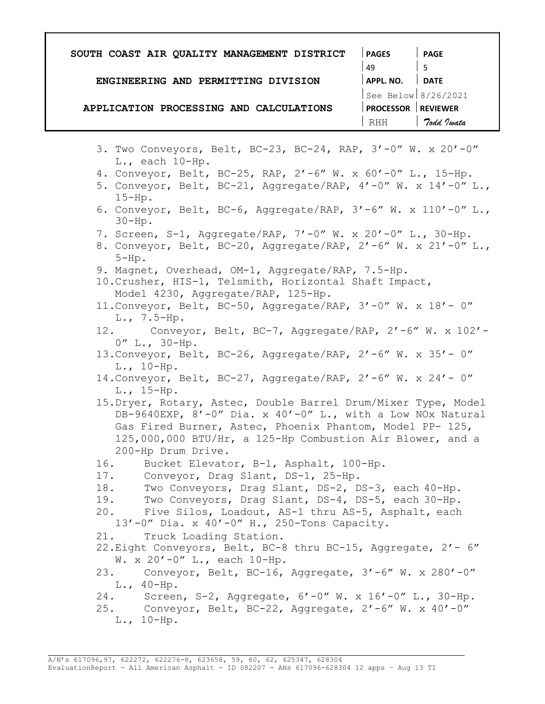| SOUTH COAST AIR QUALITY MANAGEMENT DISTRICT                                                                                                                                                                                                                                 | <b>PAGES</b>              | <b>PAGE</b>           |
|-----------------------------------------------------------------------------------------------------------------------------------------------------------------------------------------------------------------------------------------------------------------------------|---------------------------|-----------------------|
|                                                                                                                                                                                                                                                                             | 49                        | 5 <sup>5</sup>        |
| ENGINEERING AND PERMITTING DIVISION                                                                                                                                                                                                                                         | $ $ APPL. NO. $ $ DATE    |                       |
|                                                                                                                                                                                                                                                                             |                           | See Below $8/26/2021$ |
| APPLICATION PROCESSING AND CALCULATIONS                                                                                                                                                                                                                                     | <b>PROCESSOR REVIEWER</b> |                       |
|                                                                                                                                                                                                                                                                             | RHH                       | 7odd Iwata            |
|                                                                                                                                                                                                                                                                             |                           |                       |
| 3. Two Conveyors, Belt, BC-23, BC-24, RAP, 3'-0" W. x 20'-0"<br>$L.,$ each $10-Hp.$                                                                                                                                                                                         |                           |                       |
| 4. Conveyor, Belt, BC-25, RAP, 2'-6" W. x 60'-0" L., 15-Hp.<br>5. Conveyor, Belt, BC-21, Aggregate/RAP, $4'$ -0" W. x $14'$ -0" L.,<br>$15-Hp.$                                                                                                                             |                           |                       |
| 6. Conveyor, Belt, BC-6, Aggregate/RAP, $3'-6''$ W. x $110'-0''$ L.,<br>$30-Hp$ .                                                                                                                                                                                           |                           |                       |
| 7. Screen, S-1, Aggregate/RAP, 7'-0" W. x 20'-0" L., 30-Hp.<br>8. Conveyor, Belt, BC-20, Aggregate/RAP, $2'-6''$ W. x $21'-0''$ L.,<br>$5-Hp$ .                                                                                                                             |                           |                       |
| 9. Magnet, Overhead, OM-1, Aggregate/RAP, 7.5-Hp.<br>10. Crusher, HIS-1, Telsmith, Horizontal Shaft Impact,<br>Model 4230, Aggregate/RAP, 125-Hp.                                                                                                                           |                           |                       |
| 11. Conveyor, Belt, BC-50, Aggregate/RAP, 3'-0" W. x 18'- 0"<br>$L., 7.5-Hp.$                                                                                                                                                                                               |                           |                       |
| 12. Conveyor, Belt, BC-7, Aggregate/RAP, 2'-6" W. x 102'-<br>$0''$ L., $30-Hp$ .                                                                                                                                                                                            |                           |                       |
| 13. Conveyor, Belt, BC-26, Aggregate/RAP, 2'-6" W. x 35'- 0"<br>$L., 10-Hp.$                                                                                                                                                                                                |                           |                       |
| 14. Conveyor, Belt, BC-27, Aggregate/RAP, 2'-6" W. x 24'- 0"<br>$L., 15-Hp.$                                                                                                                                                                                                |                           |                       |
| 15. Dryer, Rotary, Astec, Double Barrel Drum/Mixer Type, Model<br>DB-9640EXP, 8'-0" Dia. x 40'-0" L., with a Low NOx Natural<br>Gas Fired Burner, Astec, Phoenix Phantom, Model PP- 125,<br>125,000,000 BTU/Hr, a 125-Hp Combustion Air Blower, and a<br>200-Hp Drum Drive. |                           |                       |
| Bucket Elevator, B-1, Asphalt, 100-Hp.<br>16.                                                                                                                                                                                                                               |                           |                       |
| 17. Conveyor, Drag Slant, DS-1, 25-Hp.<br>Two Conveyors, Drag Slant, DS-2, DS-3, each 40-Hp.<br>18.                                                                                                                                                                         |                           |                       |
| Two Conveyors, Drag Slant, DS-4, DS-5, each 30-Hp.<br>19.                                                                                                                                                                                                                   |                           |                       |
| 20. Five Silos, Loadout, AS-1 thru AS-5, Asphalt, each                                                                                                                                                                                                                      |                           |                       |
| 13'-0" Dia. x 40'-0" H., 250-Tons Capacity.                                                                                                                                                                                                                                 |                           |                       |
| 21.<br>Truck Loading Station.                                                                                                                                                                                                                                               |                           |                       |
| 22. Eight Conveyors, Belt, BC-8 thru BC-15, Aggregate, 2'- 6"<br>W. x $20' - 0''$ L., each 10-Hp.                                                                                                                                                                           |                           |                       |
| 23. Conveyor, Belt, BC-16, Aggregate, 3'-6" W. x 280'-0"                                                                                                                                                                                                                    |                           |                       |
| $L., 40-Hp.$                                                                                                                                                                                                                                                                |                           |                       |
| 24. Screen, S-2, Aggregate, 6'-0" W. x 16'-0" L., 30-Hp.<br>25. Conveyor, Belt, BC-22, Aggregate, 2'-6" W. x 40'-0"                                                                                                                                                         |                           |                       |
| $L., 10-Hp.$                                                                                                                                                                                                                                                                |                           |                       |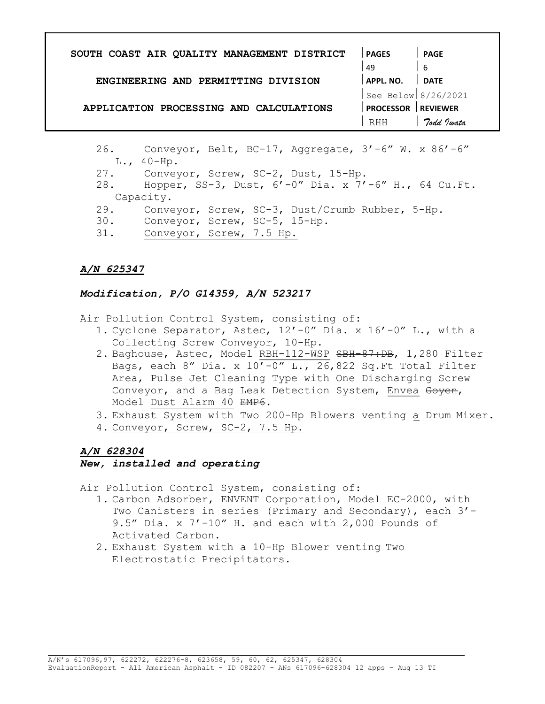| SOUTH COAST AIR QUALITY MANAGEMENT DISTRICT | <b>PAGES</b>          | PAGE            |
|---------------------------------------------|-----------------------|-----------------|
|                                             | 49                    | -6              |
| ENGINEERING AND PERMITTING DIVISION         | APPL. NO.             | <b>DATE</b>     |
|                                             | See Below $8/26/2021$ |                 |
| APPLICATION PROCESSING AND CALCULATIONS     | <b>PROCESSOR</b>      | <b>REVIEWER</b> |
|                                             | RHH                   | Todd Jwata      |

- 26. Conveyor, Belt, BC-17, Aggregate, 3'-6" W. x 86'-6" L., 40-Hp.
- 27. Conveyor, Screw, SC-2, Dust, 15-Hp.
- 28. Hopper, SS-3, Dust, 6'-0" Dia. x 7'-6" H., 64 Cu.Ft. Capacity.
- 29. Conveyor, Screw, SC-3, Dust/Crumb Rubber, 5-Hp.
- 30. Conveyor, Screw, SC-5, 15-Hp.
- 31. Conveyor, Screw, 7.5 Hp.

## Modification, P/O G14359, A/N 523217

Air Pollution Control System, consisting of:

- 1. Cyclone Separator, Astec, 12'-0" Dia. x 16'-0" L., with a Collecting Screw Conveyor, 10-Hp.
- 2. Baghouse, Astec, Model RBH-112-WSP SBH-87:DB, 1,280 Filter Bags, each 8" Dia. x  $10'$ -0" L., 26,822 Sq.Ft Total Filter Area, Pulse Jet Cleaning Type with One Discharging Screw Conveyor, and a Bag Leak Detection System, Envea Goyen, Model Dust Alarm 40 EMP6.
- 3. Exhaust System with Two 200-Hp Blowers venting a Drum Mixer.
- 4. Conveyor, Screw, SC-2, 7.5 Hp.

## A/N 628304

#### New, installed and operating

Air Pollution Control System, consisting of:

- 1. Carbon Adsorber, ENVENT Corporation, Model EC-2000, with Two Canisters in series (Primary and Secondary), each 3'-9.5" Dia. x 7'-10" H. and each with 2,000 Pounds of Activated Carbon.
- 2. Exhaust System with a 10-Hp Blower venting Two Electrostatic Precipitators.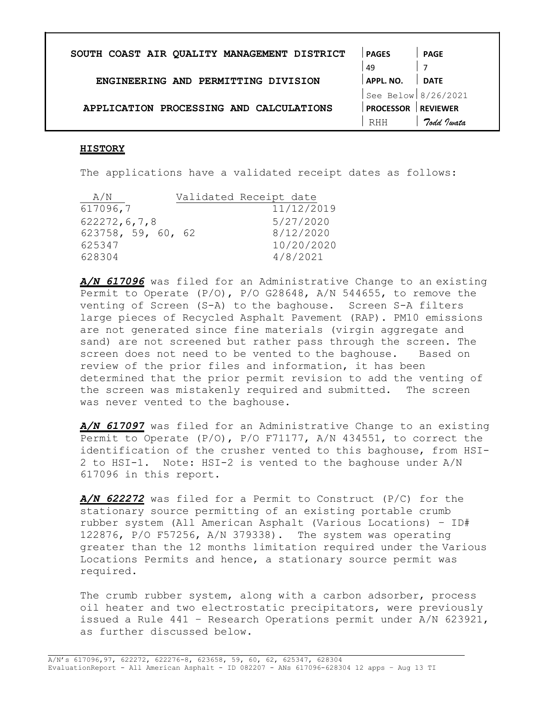| SOUTH COAST AIR QUALITY MANAGEMENT DISTRICT | <b>PAGES</b>        | PAGE            |
|---------------------------------------------|---------------------|-----------------|
|                                             | 49                  |                 |
| ENGINEERING AND PERMITTING DIVISION         | APPL. NO.           | <b>DATE</b>     |
|                                             | See Below 8/26/2021 |                 |
| APPLICATION PROCESSING AND CALCULATIONS     | <b>PROCESSOR</b>    | <b>REVIEWER</b> |
|                                             | RHH                 | Todd Justa      |

#### HISTORY

The applications have a validated receipt dates as follows:

| A/N                | Validated Receipt date |
|--------------------|------------------------|
| 617096,7           | 11/12/2019             |
| 622272, 6, 7, 8    | 5/27/2020              |
| 623758, 59, 60, 62 | 8/12/2020              |
| 625347             | 10/20/2020             |
| 628304             | 4/8/2021               |

A/N 617096 was filed for an Administrative Change to an existing Permit to Operate (P/O), P/O G28648, A/N 544655, to remove the venting of Screen (S-A) to the baghouse. Screen S-A filters large pieces of Recycled Asphalt Pavement (RAP). PM10 emissions are not generated since fine materials (virgin aggregate and sand) are not screened but rather pass through the screen. The screen does not need to be vented to the baghouse. Based on review of the prior files and information, it has been determined that the prior permit revision to add the venting of the screen was mistakenly required and submitted. The screen was never vented to the baghouse.

A/N 617097 was filed for an Administrative Change to an existing Permit to Operate (P/O), P/O F71177, A/N 434551, to correct the identification of the crusher vented to this baghouse, from HSI-2 to HSI-1. Note: HSI-2 is vented to the baghouse under A/N 617096 in this report.

A/N 622272 was filed for a Permit to Construct (P/C) for the stationary source permitting of an existing portable crumb rubber system (All American Asphalt (Various Locations) – ID# 122876, P/O F57256, A/N 379338). The system was operating greater than the 12 months limitation required under the Various Locations Permits and hence, a stationary source permit was required.

The crumb rubber system, along with a carbon adsorber, process oil heater and two electrostatic precipitators, were previously issued a Rule 441 – Research Operations permit under A/N 623921, as further discussed below.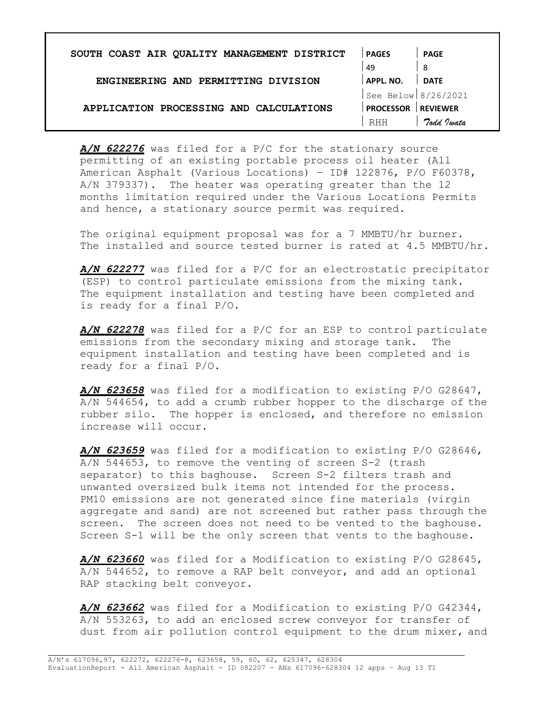| SOUTH COAST AIR QUALITY MANAGEMENT DISTRICT | <b>PAGES</b>        | PAGE            |
|---------------------------------------------|---------------------|-----------------|
|                                             | 49                  | -8              |
| ENGINEERING AND PERMITTING DIVISION         | APPL. NO.           | <b>DATE</b>     |
|                                             | See Below 8/26/2021 |                 |
| APPLICATION PROCESSING AND CALCULATIONS     | <b>PROCESSOR</b>    | <b>REVIEWER</b> |
|                                             | <b>RHH</b>          | Todd Jwata      |

A/N 622276 was filed for a P/C for the stationary source permitting of an existing portable process oil heater (All American Asphalt (Various Locations) – ID# 122876, P/O F60378, A/N 379337). The heater was operating greater than the 12 months limitation required under the Various Locations Permits and hence, a stationary source permit was required.

The original equipment proposal was for a 7 MMBTU/hr burner. The installed and source tested burner is rated at 4.5 MMBTU/hr.

A/N 622277 was filed for a P/C for an electrostatic precipitator (ESP) to control particulate emissions from the mixing tank. The equipment installation and testing have been completed and is ready for a final P/O.

A/N 622278 was filed for a P/C for an ESP to control particulate emissions from the secondary mixing and storage tank. The equipment installation and testing have been completed and is ready for a final P/O.

A/N 623658 was filed for a modification to existing P/O G28647, A/N 544654, to add a crumb rubber hopper to the discharge of the rubber silo. The hopper is enclosed, and therefore no emission increase will occur.

A/N 623659 was filed for a modification to existing P/O G28646, A/N 544653, to remove the venting of screen S-2 (trash separator) to this baghouse. Screen S-2 filters trash and unwanted oversized bulk items not intended for the process. PM10 emissions are not generated since fine materials (virgin aggregate and sand) are not screened but rather pass through the screen. The screen does not need to be vented to the baghouse. Screen S-1 will be the only screen that vents to the baghouse.

A/N 623660 was filed for a Modification to existing P/O G28645, A/N 544652, to remove a RAP belt conveyor, and add an optional RAP stacking belt conveyor.

A/N 623662 was filed for a Modification to existing P/O G42344, A/N 553263, to add an enclosed screw conveyor for transfer of dust from air pollution control equipment to the drum mixer, and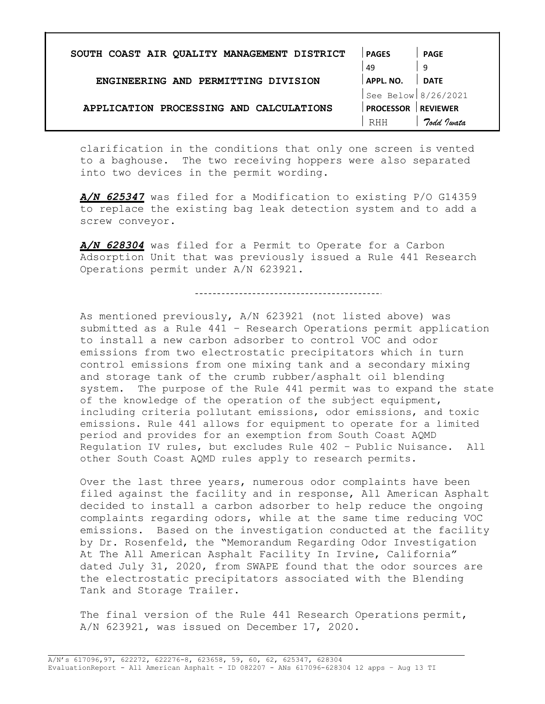| SOUTH COAST AIR QUALITY MANAGEMENT DISTRICT | <b>PAGES</b>        | <b>PAGE</b>     |
|---------------------------------------------|---------------------|-----------------|
|                                             | 49                  | 9               |
| ENGINEERING AND PERMITTING DIVISION         | APPL. NO.           | <b>DATE</b>     |
|                                             | See Below 8/26/2021 |                 |
| APPLICATION PROCESSING AND CALCULATIONS     | <b>PROCESSOR</b>    | <b>REVIEWER</b> |
|                                             | RHH                 | Todd Justa      |

clarification in the conditions that only one screen is vented to a baghouse. The two receiving hoppers were also separated into two devices in the permit wording.

A/N 625347 was filed for a Modification to existing P/O G14359 to replace the existing bag leak detection system and to add a screw conveyor.

A/N 628304 was filed for a Permit to Operate for a Carbon Adsorption Unit that was previously issued a Rule 441 Research Operations permit under A/N 623921.

As mentioned previously, A/N 623921 (not listed above) was submitted as a Rule 441 – Research Operations permit application to install a new carbon adsorber to control VOC and odor emissions from two electrostatic precipitators which in turn control emissions from one mixing tank and a secondary mixing and storage tank of the crumb rubber/asphalt oil blending system. The purpose of the Rule 441 permit was to expand the state of the knowledge of the operation of the subject equipment, including criteria pollutant emissions, odor emissions, and toxic emissions. Rule 441 allows for equipment to operate for a limited period and provides for an exemption from South Coast AQMD Regulation IV rules, but excludes Rule 402 – Public Nuisance. All other South Coast AQMD rules apply to research permits.

Over the last three years, numerous odor complaints have been filed against the facility and in response, All American Asphalt decided to install a carbon adsorber to help reduce the ongoing complaints regarding odors, while at the same time reducing VOC emissions. Based on the investigation conducted at the facility by Dr. Rosenfeld, the "Memorandum Regarding Odor Investigation At The All American Asphalt Facility In Irvine, California" dated July 31, 2020, from SWAPE found that the odor sources are the electrostatic precipitators associated with the Blending Tank and Storage Trailer.

The final version of the Rule 441 Research Operations permit, A/N 623921, was issued on December 17, 2020.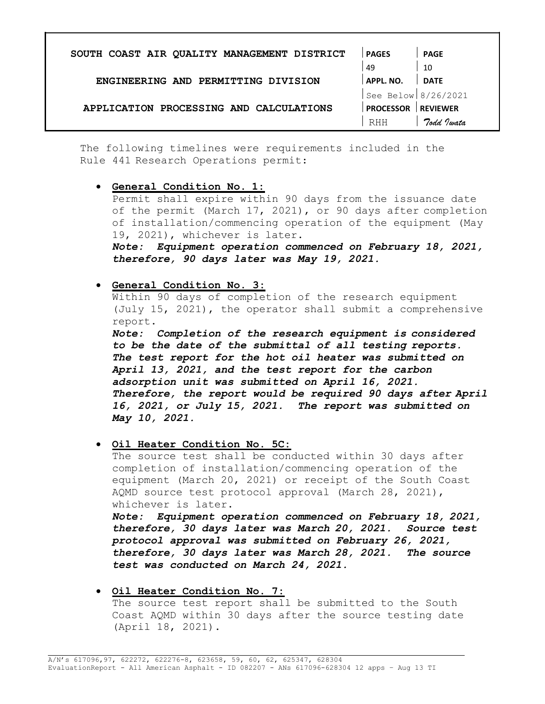| SOUTH COAST AIR QUALITY MANAGEMENT DISTRICT | <b>PAGES</b>          | <b>PAGE</b> |
|---------------------------------------------|-----------------------|-------------|
|                                             | 49                    | 10          |
| ENGINEERING AND PERMITTING DIVISION         | APPL. NO.             | <b>DATE</b> |
|                                             | See Below $8/26/2021$ |             |
| APPLICATION PROCESSING AND CALCULATIONS     | <b>PROCESSOR</b>      | REVIEWER    |
|                                             | <b>RHH</b>            | Todd Justa  |

The following timelines were requirements included in the Rule 441 Research Operations permit:

 General Condition No. 1: Permit shall expire within 90 days from the issuance date of the permit (March 17, 2021), or 90 days after completion of installation/commencing operation of the equipment (May 19, 2021), whichever is later. Note: Equipment operation commenced on February 18, 2021,

therefore, 90 days later was May 19, 2021.

## General Condition No. 3:

Within 90 days of completion of the research equipment (July 15, 2021), the operator shall submit a comprehensive report.

Note: Completion of the research equipment is considered to be the date of the submittal of all testing reports. The test report for the hot oil heater was submitted on April 13, 2021, and the test report for the carbon adsorption unit was submitted on April 16, 2021. Therefore, the report would be required 90 days after April 16, 2021, or July 15, 2021. The report was submitted on May 10, 2021.

 $\bullet$  Oil Heater Condition No. 5C:

The source test shall be conducted within 30 days after completion of installation/commencing operation of the equipment (March 20, 2021) or receipt of the South Coast AQMD source test protocol approval (March 28, 2021), whichever is later.

Note: Equipment operation commenced on February 18, 2021, therefore, 30 days later was March 20, 2021. Source test protocol approval was submitted on February 26, 2021, therefore, 30 days later was March 28, 2021. The source test was conducted on March 24, 2021.

**Oil Heater Condition No. 7:** The source test report shall be submitted to the South Coast AQMD within 30 days after the source testing date (April 18, 2021).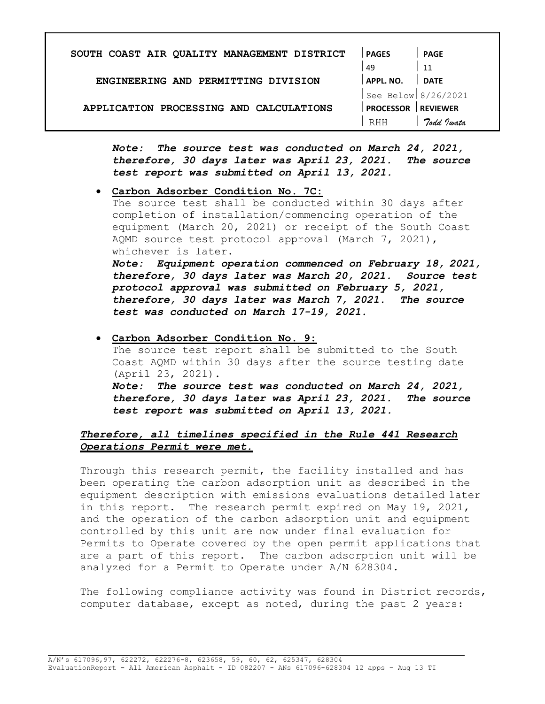| SOUTH COAST AIR QUALITY MANAGEMENT DISTRICT | <b>PAGES</b>        | <b>PAGE</b>     |
|---------------------------------------------|---------------------|-----------------|
|                                             | 49                  | 11              |
| ENGINEERING AND PERMITTING DIVISION         | APPL. NO.           | <b>DATE</b>     |
|                                             | See Below 8/26/2021 |                 |
| APPLICATION PROCESSING AND CALCULATIONS     | <b>PROCESSOR</b>    | <b>REVIEWER</b> |
|                                             | <b>RHH</b>          | Todd Jwata      |

Note: The source test was conducted on March 24, 2021, therefore, 30 days later was April 23, 2021. The source test report was submitted on April 13, 2021.

Carbon Adsorber Condition No. 7C:

The source test shall be conducted within 30 days after completion of installation/commencing operation of the equipment (March 20, 2021) or receipt of the South Coast AQMD source test protocol approval (March 7, 2021), whichever is later.

Note: Equipment operation commenced on February 18, 2021, therefore, 30 days later was March 20, 2021. Source test protocol approval was submitted on February 5, 2021, therefore, 30 days later was March 7, 2021. The source test was conducted on March 17-19, 2021.

 Carbon Adsorber Condition No. 9: The source test report shall be submitted to the South Coast AQMD within 30 days after the source testing date (April 23, 2021). Note: The source test was conducted on March 24, 2021, therefore, 30 days later was April 23, 2021. The source test report was submitted on April 13, 2021.

# Therefore, all timelines specified in the Rule 441 Research Operations Permit were met.

Through this research permit, the facility installed and has been operating the carbon adsorption unit as described in the equipment description with emissions evaluations detailed later in this report. The research permit expired on May 19, 2021, and the operation of the carbon adsorption unit and equipment controlled by this unit are now under final evaluation for Permits to Operate covered by the open permit applications that are a part of this report. The carbon adsorption unit will be analyzed for a Permit to Operate under A/N 628304.

The following compliance activity was found in District records, computer database, except as noted, during the past 2 years: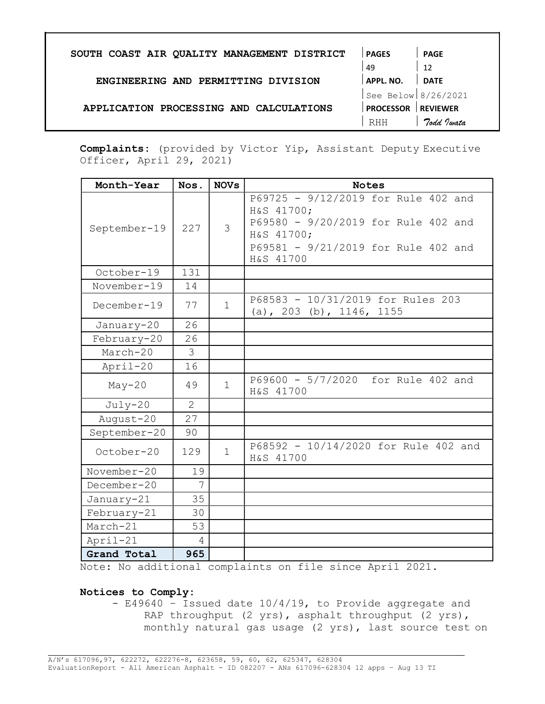| SOUTH COAST AIR QUALITY MANAGEMENT DISTRICT | <b>PAGES</b>          | <b>PAGE</b>     |
|---------------------------------------------|-----------------------|-----------------|
|                                             | 49                    | 12              |
| ENGINEERING AND PERMITTING DIVISION         | APPL. NO.             | <b>DATE</b>     |
|                                             | See Below $8/26/2021$ |                 |
| APPLICATION PROCESSING AND CALCULATIONS     | <b>PROCESSOR</b>      | <b>REVIEWER</b> |
|                                             | RHH                   | Todd Justa      |
|                                             |                       |                 |

Complaints: (provided by Victor Yip, Assistant Deputy Executive Officer, April 29, 2021)

| Month-Year    | Nos.           | <b>NOVs</b>  | <b>Notes</b>                                                                                                                                               |
|---------------|----------------|--------------|------------------------------------------------------------------------------------------------------------------------------------------------------------|
| September-19  | 227            | 3            | P69725 - 9/12/2019 for Rule 402 and<br>H&S 41700;<br>P69580 - 9/20/2019 for Rule 402 and<br>H&S 41700;<br>P69581 - 9/21/2019 for Rule 402 and<br>H&S 41700 |
| October-19    | 131            |              |                                                                                                                                                            |
| November-19   | 14             |              |                                                                                                                                                            |
| $December-19$ | 77             | $\mathbf{1}$ | P68583 - 10/31/2019 for Rules 203<br>(a), 203 (b), 1146, 1155                                                                                              |
| January-20    | 26             |              |                                                                                                                                                            |
| February-20   | 26             |              |                                                                                                                                                            |
| March-20      | 3              |              |                                                                                                                                                            |
| April-20      | 16             |              |                                                                                                                                                            |
| $May-20$      | 49             | $\mathbf 1$  | P69600 - 5/7/2020 for Rule 402 and<br>H&S 41700                                                                                                            |
| $July-20$     | $\overline{2}$ |              |                                                                                                                                                            |
| August-20     | 27             |              |                                                                                                                                                            |
| September-20  | 90             |              |                                                                                                                                                            |
| October-20    | 129            | $\mathbf{1}$ | P68592 - 10/14/2020 for Rule 402 and<br>H&S 41700                                                                                                          |
| $November-20$ | 19             |              |                                                                                                                                                            |
| $December-20$ | 7              |              |                                                                                                                                                            |
| January-21    | 35             |              |                                                                                                                                                            |
| February-21   | 30             |              |                                                                                                                                                            |
| March-21      | 53             |              |                                                                                                                                                            |
| April-21      | $\overline{4}$ |              |                                                                                                                                                            |
| Grand Total   | 965            |              |                                                                                                                                                            |

Note: No additional complaints on file since April 2021.

## Notices to Comply:

- E49640 – Issued date 10/4/19, to Provide aggregate and RAP throughput (2 yrs), asphalt throughput (2 yrs), monthly natural gas usage (2 yrs), last source test on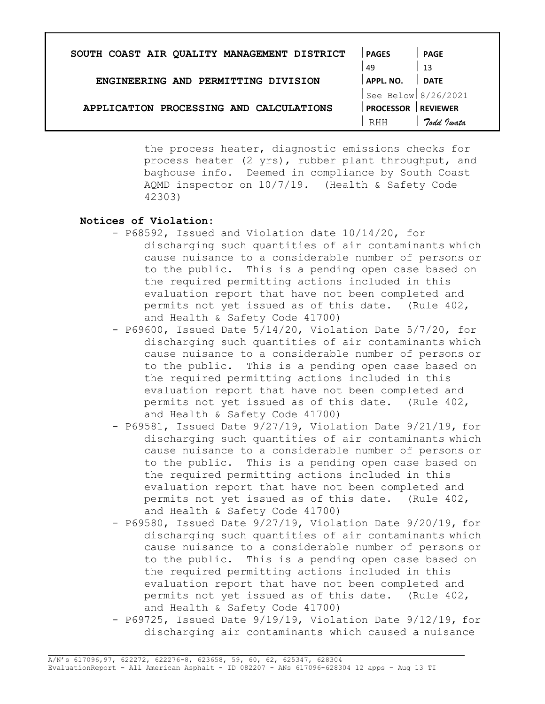| SOUTH COAST AIR QUALITY MANAGEMENT DISTRICT | <b>PAGES</b>        | <b>PAGE</b>     |
|---------------------------------------------|---------------------|-----------------|
|                                             | 49                  | -13             |
| ENGINEERING AND PERMITTING DIVISION         | APPL. NO.           | <b>DATE</b>     |
|                                             | See Below 8/26/2021 |                 |
| APPLICATION PROCESSING AND CALCULATIONS     | <b>PROCESSOR</b>    | <b>REVIEWER</b> |
|                                             | RHH                 | Todd Twata      |
|                                             |                     |                 |

the process heater, diagnostic emissions checks for process heater (2 yrs), rubber plant throughput, and baghouse info. Deemed in compliance by South Coast AQMD inspector on 10/7/19. (Health & Safety Code 42303)

## Notices of Violation:

- P68592, Issued and Violation date 10/14/20, for discharging such quantities of air contaminants which cause nuisance to a considerable number of persons or to the public. This is a pending open case based on the required permitting actions included in this evaluation report that have not been completed and permits not yet issued as of this date. (Rule 402, and Health & Safety Code 41700)
- P69600, Issued Date 5/14/20, Violation Date 5/7/20, for discharging such quantities of air contaminants which cause nuisance to a considerable number of persons or to the public. This is a pending open case based on the required permitting actions included in this evaluation report that have not been completed and permits not yet issued as of this date. (Rule 402, and Health & Safety Code 41700)
- P69581, Issued Date 9/27/19, Violation Date 9/21/19, for discharging such quantities of air contaminants which cause nuisance to a considerable number of persons or to the public. This is a pending open case based on the required permitting actions included in this evaluation report that have not been completed and permits not yet issued as of this date. (Rule 402, and Health & Safety Code 41700)
- P69580, Issued Date 9/27/19, Violation Date 9/20/19, for discharging such quantities of air contaminants which cause nuisance to a considerable number of persons or to the public. This is a pending open case based on the required permitting actions included in this evaluation report that have not been completed and permits not yet issued as of this date. (Rule 402, and Health & Safety Code 41700)
- P69725, Issued Date 9/19/19, Violation Date 9/12/19, for discharging air contaminants which caused a nuisance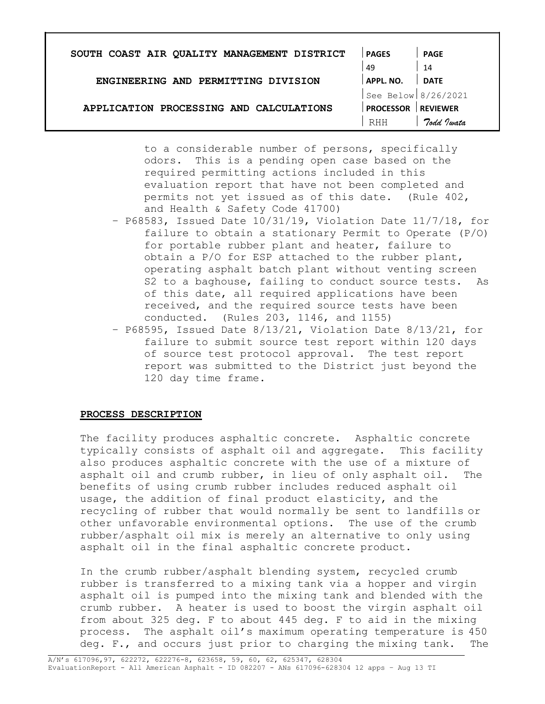| SOUTH COAST AIR QUALITY MANAGEMENT DISTRICT | <b>PAGES</b>     | <b>PAGE</b>         |
|---------------------------------------------|------------------|---------------------|
| 49                                          |                  | 14                  |
| ENGINEERING AND PERMITTING DIVISION         | APPL. NO.        | <b>DATE</b>         |
|                                             |                  | See Below 8/26/2021 |
| APPLICATION PROCESSING AND CALCULATIONS     | <b>PROCESSOR</b> | <b>REVIEWER</b>     |
|                                             | <b>RHH</b>       | Todd Twata          |

to a considerable number of persons, specifically odors. This is a pending open case based on the required permitting actions included in this evaluation report that have not been completed and permits not yet issued as of this date. (Rule 402, and Health & Safety Code 41700)

- P68583, Issued Date 10/31/19, Violation Date 11/7/18, for failure to obtain a stationary Permit to Operate (P/O) for portable rubber plant and heater, failure to obtain a P/O for ESP attached to the rubber plant, operating asphalt batch plant without venting screen S2 to a baghouse, failing to conduct source tests. As of this date, all required applications have been received, and the required source tests have been conducted. (Rules 203, 1146, and 1155)
- P68595, Issued Date 8/13/21, Violation Date 8/13/21, for failure to submit source test report within 120 days of source test protocol approval. The test report report was submitted to the District just beyond the 120 day time frame.

#### PROCESS DESCRIPTION

The facility produces asphaltic concrete. Asphaltic concrete typically consists of asphalt oil and aggregate. This facility also produces asphaltic concrete with the use of a mixture of asphalt oil and crumb rubber, in lieu of only asphalt oil. The benefits of using crumb rubber includes reduced asphalt oil usage, the addition of final product elasticity, and the recycling of rubber that would normally be sent to landfills or other unfavorable environmental options. The use of the crumb rubber/asphalt oil mix is merely an alternative to only using asphalt oil in the final asphaltic concrete product.

In the crumb rubber/asphalt blending system, recycled crumb rubber is transferred to a mixing tank via a hopper and virgin asphalt oil is pumped into the mixing tank and blended with the crumb rubber. A heater is used to boost the virgin asphalt oil from about 325 deg. F to about 445 deg. F to aid in the mixing process. The asphalt oil's maximum operating temperature is 450 deg. F., and occurs just prior to charging the mixing tank. The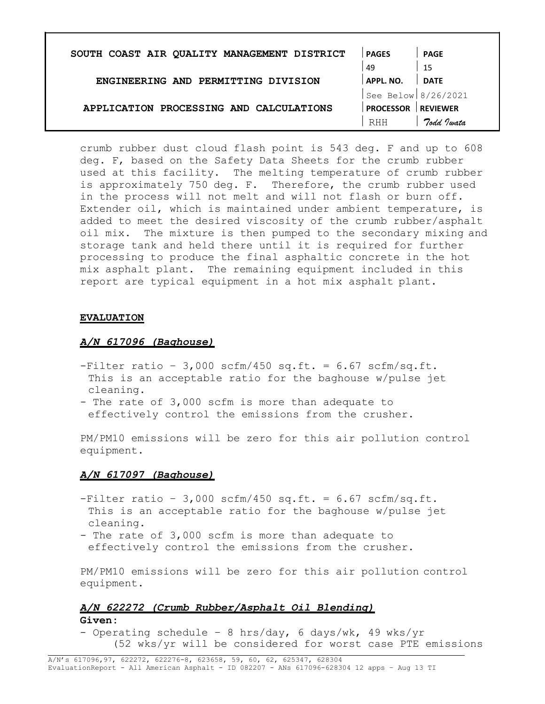| SOUTH COAST AIR QUALITY MANAGEMENT DISTRICT | <b>PAGES</b>        | <b>PAGE</b>     |
|---------------------------------------------|---------------------|-----------------|
|                                             | 49                  | 15              |
| ENGINEERING AND PERMITTING DIVISION         | APPL. NO.           | <b>DATE</b>     |
|                                             | See Below 8/26/2021 |                 |
| APPLICATION PROCESSING AND CALCULATIONS     | <b>PROCESSOR</b>    | <b>REVIEWER</b> |
|                                             | RHH                 | Todd Justa      |

crumb rubber dust cloud flash point is 543 deg. F and up to 608 deg. F, based on the Safety Data Sheets for the crumb rubber used at this facility. The melting temperature of crumb rubber is approximately 750 deg. F. Therefore, the crumb rubber used in the process will not melt and will not flash or burn off. Extender oil, which is maintained under ambient temperature, is added to meet the desired viscosity of the crumb rubber/asphalt oil mix. The mixture is then pumped to the secondary mixing and storage tank and held there until it is required for further processing to produce the final asphaltic concrete in the hot mix asphalt plant. The remaining equipment included in this report are typical equipment in a hot mix asphalt plant.

## **EVALUATION**

## A/N 617096 (Baghouse)

- $-Finter$  ratio 3,000 scfm/450 sq.ft. = 6.67 scfm/sq.ft. This is an acceptable ratio for the baghouse w/pulse jet cleaning.
- The rate of 3,000 scfm is more than adequate to effectively control the emissions from the crusher.

PM/PM10 emissions will be zero for this air pollution control equipment.

## A/N 617097 (Baghouse)

- $-Finter$  ratio 3,000 scfm/450 sq.ft. = 6.67 scfm/sq.ft. This is an acceptable ratio for the baghouse w/pulse jet cleaning.
- The rate of 3,000 scfm is more than adequate to effectively control the emissions from the crusher.

PM/PM10 emissions will be zero for this air pollution control equipment.

# A/N 622272 (Crumb Rubber/Asphalt Oil Blending)

# Given:

- Operating schedule – 8 hrs/day, 6 days/wk, 49 wks/yr (52 wks/yr will be considered for worst case PTE emissions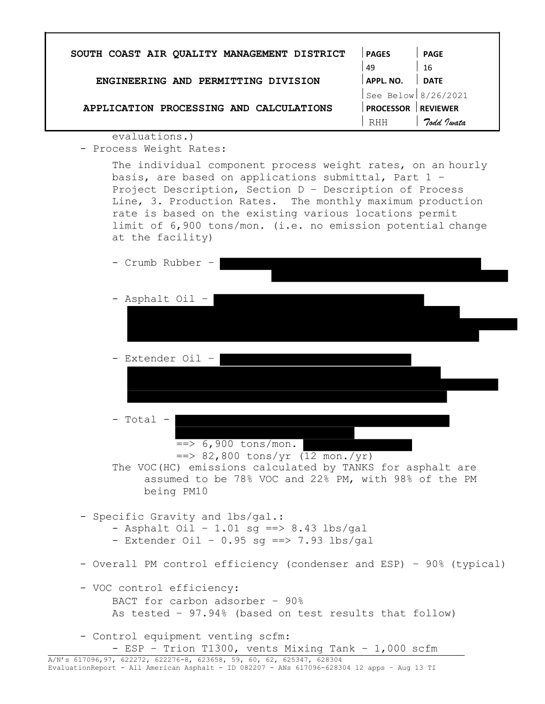| SOUTH COAST AIR QUALITY MANAGEMENT DISTRICT                                                                                                                                                                                                                                                                                                                                              | <b>PAGES</b>              | <b>PAGE</b> |
|------------------------------------------------------------------------------------------------------------------------------------------------------------------------------------------------------------------------------------------------------------------------------------------------------------------------------------------------------------------------------------------|---------------------------|-------------|
|                                                                                                                                                                                                                                                                                                                                                                                          | 49                        | 16          |
| ENGINEERING AND PERMITTING DIVISION                                                                                                                                                                                                                                                                                                                                                      | APPL. NO.                 | <b>DATE</b> |
|                                                                                                                                                                                                                                                                                                                                                                                          | See Below $8/26/2021$     |             |
| APPLICATION PROCESSING AND CALCULATIONS                                                                                                                                                                                                                                                                                                                                                  | <b>PROCESSOR REVIEWER</b> |             |
|                                                                                                                                                                                                                                                                                                                                                                                          | RHH                       | Todd Jwata  |
| evaluations.)<br>- Process Weight Rates:                                                                                                                                                                                                                                                                                                                                                 |                           |             |
| The individual component process weight rates, on an hourly<br>basis, are based on applications submittal, Part 1 -<br>Project Description, Section D - Description of Process<br>Line, 3. Production Rates. The monthly maximum production<br>rate is based on the existing various locations permit<br>limit of 6,900 tons/mon. (i.e. no emission potential change<br>at the facility) |                           |             |

÷

| - Crumb Rubber -                                                                                                                                                                                                    |
|---------------------------------------------------------------------------------------------------------------------------------------------------------------------------------------------------------------------|
| - Asphalt Oil -                                                                                                                                                                                                     |
| - Extender Oil -                                                                                                                                                                                                    |
| - Total -<br>$=$ > 6,900 tons/mon.<br>$\Rightarrow$ 82,800 tons/yr (12 mon./yr)<br>The VOC (HC) emissions calculated by TANKS for asphalt are<br>assumed to be 78% VOC and 22% PM, with 98% of the PM<br>being PM10 |
| - Specific Gravity and lbs/gal.:<br>- Asphalt Oil - 1.01 sq ==> 8.43 lbs/gal<br>- Extender Oil - $0.95$ sq ==> 7.93 lbs/gal                                                                                         |
| - Overall PM control efficiency (condenser and ESP) - 90% (typical)                                                                                                                                                 |
| - VOC control efficiency:<br>BACT for carbon adsorber - 90%<br>As tested - 97.94% (based on test results that follow)                                                                                               |
| - Control equipment venting scfm:<br>- ESP - Trion T1300, vents Mixing Tank - 1,000 scfm<br>A/N's 617096,97, 622272, 622276-8, 623658, 59, 60, 62, 625347, 628304                                                   |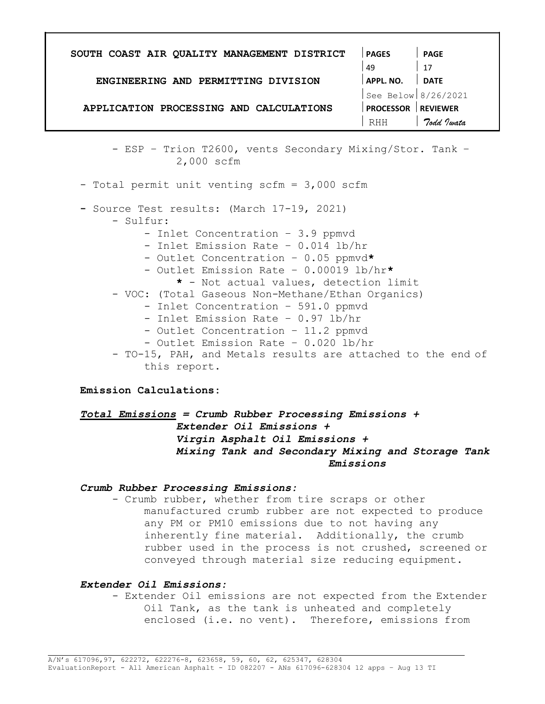| SOUTH COAST AIR QUALITY MANAGEMENT DISTRICT | <b>PAGES</b>        | <b>PAGE</b>     |
|---------------------------------------------|---------------------|-----------------|
|                                             | 49                  | 17              |
| ENGINEERING AND PERMITTING DIVISION         | APPL. NO.           | <b>DATE</b>     |
|                                             | See Below 8/26/2021 |                 |
| APPLICATION PROCESSING AND CALCULATIONS     | <b>PROCESSOR</b>    | <b>REVIEWER</b> |
|                                             | RHH                 | Todd Twata      |
|                                             |                     |                 |

- ESP – Trion T2600, vents Secondary Mixing/Stor. Tank – 2,000 scfm

- Total permit unit venting scfm = 3,000 scfm

- Source Test results: (March 17-19, 2021)

- Sulfur:
	- Inlet Concentration 3.9 ppmvd
	- Inlet Emission Rate 0.014 lb/hr
	- Outlet Concentration 0.05 ppmvd\*
	- Outlet Emission Rate 0.00019 lb/hr\*
		- \* Not actual values, detection limit
- VOC: (Total Gaseous Non-Methane/Ethan Organics)
	- Inlet Concentration 591.0 ppmvd
	- Inlet Emission Rate 0.97 lb/hr
	- Outlet Concentration 11.2 ppmvd
	- Outlet Emission Rate 0.020 lb/hr

- TO-15, PAH, and Metals results are attached to the end of this report.

#### Emission Calculations:

 $Total Emissions = Crumb Rubber Processing Emissions +$ Extender Oil Emissions + Virgin Asphalt Oil Emissions + Mixing Tank and Secondary Mixing and Storage Tank Emissions

## Crumb Rubber Processing Emissions:

- Crumb rubber, whether from tire scraps or other manufactured crumb rubber are not expected to produce any PM or PM10 emissions due to not having any inherently fine material. Additionally, the crumb rubber used in the process is not crushed, screened or conveyed through material size reducing equipment.

#### Extender Oil Emissions:

- Extender Oil emissions are not expected from the Extender Oil Tank, as the tank is unheated and completely enclosed (i.e. no vent). Therefore, emissions from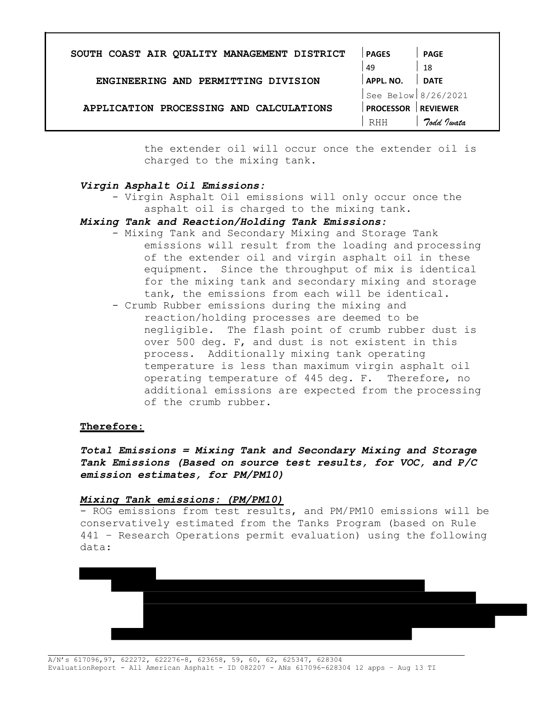| 49<br>ENGINEERING AND PERMITTING DIVISION<br>APPL. NO.      | 18<br><b>DATE</b>     |  |
|-------------------------------------------------------------|-----------------------|--|
|                                                             |                       |  |
|                                                             |                       |  |
|                                                             | See Below $8/26/2021$ |  |
| APPLICATION PROCESSING AND CALCULATIONS<br><b>PROCESSOR</b> | <b>REVIEWER</b>       |  |
| <b>RHH</b>                                                  | Todd Justa            |  |

the extender oil will occur once the extender oil is charged to the mixing tank.

## Virgin Asphalt Oil Emissions:

- Virgin Asphalt Oil emissions will only occur once the asphalt oil is charged to the mixing tank.

## Mixing Tank and Reaction/Holding Tank Emissions:

- Mixing Tank and Secondary Mixing and Storage Tank emissions will result from the loading and processing of the extender oil and virgin asphalt oil in these equipment. Since the throughput of mix is identical for the mixing tank and secondary mixing and storage tank, the emissions from each will be identical.
- Crumb Rubber emissions during the mixing and reaction/holding processes are deemed to be negligible. The flash point of crumb rubber dust is over 500 deg. F, and dust is not existent in this process. Additionally mixing tank operating temperature is less than maximum virgin asphalt oil operating temperature of 445 deg. F. Therefore, no additional emissions are expected from the processing of the crumb rubber.

#### Therefore:

Total Emissions = Mixing Tank and Secondary Mixing and Storage Tank Emissions (Based on source test results, for VOC, and P/C emission estimates, for PM/PM10)

#### Mixing Tank emissions: (PM/PM10)

- ROG emissions from test results, and PM/PM10 emissions will be conservatively estimated from the Tanks Program (based on Rule 441 – Research Operations permit evaluation) using the following data:

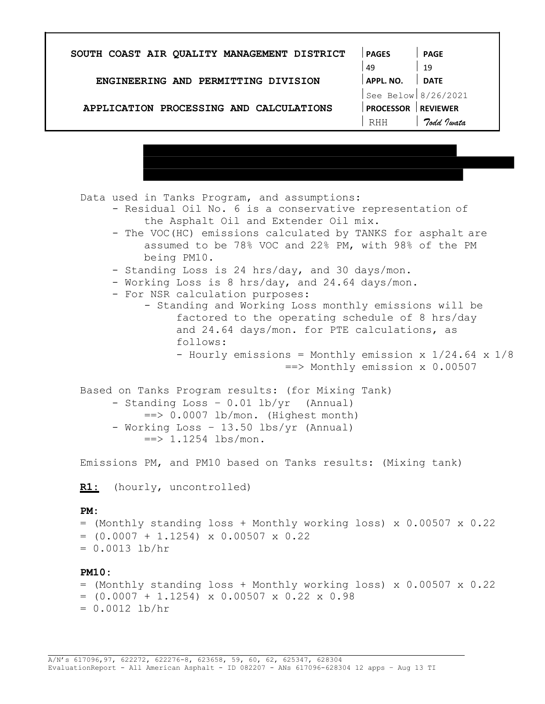| SOUTH COAST AIR QUALITY MANAGEMENT DISTRICT | <b>PAGES</b>          | <b>PAGE</b>     |
|---------------------------------------------|-----------------------|-----------------|
|                                             | 49                    | 19              |
| ENGINEERING AND PERMITTING DIVISION         | APPL. NO.             | <b>DATE</b>     |
|                                             | See Below $8/26/2021$ |                 |
| APPLICATION PROCESSING AND CALCULATIONS     | <b>PROCESSOR</b>      | <b>REVIEWER</b> |
|                                             | RHH                   | Todd Jwata      |

Data used in Tanks Program, and assumptions:

- Residual Oil No. 6 is a conservative representation of the Asphalt Oil and Extender Oil mix.
	- The VOC(HC) emissions calculated by TANKS for asphalt are assumed to be 78% VOC and 22% PM, with 98% of the PM being PM10.
	- Standing Loss is 24 hrs/day, and 30 days/mon.
	- Working Loss is 8 hrs/day, and 24.64 days/mon.
	- For NSR calculation purposes:
		- Standing and Working Loss monthly emissions will be factored to the operating schedule of 8 hrs/day and 24.64 days/mon. for PTE calculations, as follows:
			- Hourly emissions = Monthly emission x 1/24.64 x 1/8 ==> Monthly emission x 0.00507
- Based on Tanks Program results: (for Mixing Tank) - Standing Loss – 0.01 lb/yr (Annual)  $\Rightarrow$  0.0007 lb/mon. (Highest month) - Working Loss – 13.50 lbs/yr (Annual)  $\Rightarrow$  1.1254 lbs/mon.

Emissions PM, and PM10 based on Tanks results: (Mixing tank)

R1: (hourly, uncontrolled)

#### PM:

```
= (Monthly standing loss + Monthly working loss) x 0.00507 x 0.22 
= (0.0007 + 1.1254) \times 0.00507 \times 0.22= 0.0013 lb/hr
```
#### PM10:

```
= (Monthly standing loss + Monthly working loss) x 0.00507 x 0.22
= (0.0007 + 1.1254) x 0.00507 x 0.22 x 0.98
= 0.0012 lb/hr
```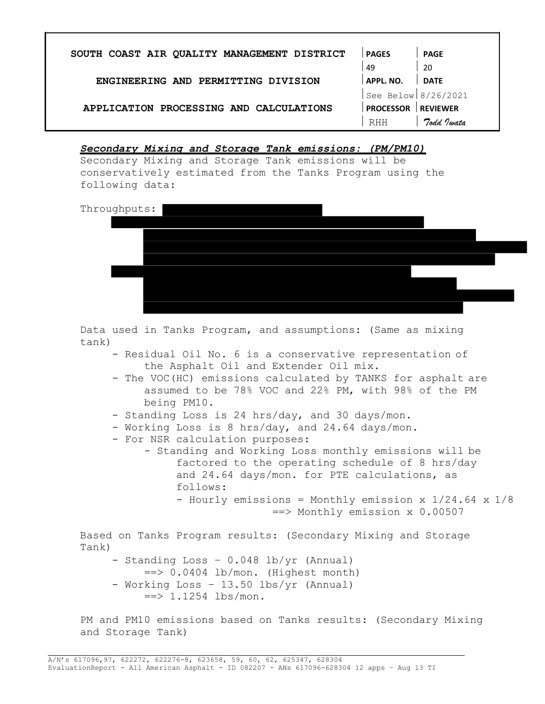| SOUTH COAST AIR QUALITY MANAGEMENT DISTRICT | <b>PAGES</b>        | <b>PAGE</b>     |
|---------------------------------------------|---------------------|-----------------|
|                                             | 49                  | -20             |
| ENGINEERING AND PERMITTING DIVISION         | APPL. NO.           | <b>DATE</b>     |
|                                             | See Below 8/26/2021 |                 |
| APPLICATION PROCESSING AND CALCULATIONS     | <b>PROCESSOR</b>    | <b>REVIEWER</b> |
|                                             | <b>RHH</b>          | Todd Twata      |

Secondary Mixing and Storage Tank emissions: (PM/PM10)

Secondary Mixing and Storage Tank emissions will be conservatively estimated from the Tanks Program using the following data:



Data used in Tanks Program, and assumptions: (Same as mixing tank)

- Residual Oil No. 6 is a conservative representation of the Asphalt Oil and Extender Oil mix.
- The VOC(HC) emissions calculated by TANKS for asphalt are assumed to be 78% VOC and 22% PM, with 98% of the PM being PM10.
- Standing Loss is 24 hrs/day, and 30 days/mon.
- Working Loss is 8 hrs/day, and 24.64 days/mon.
- For NSR calculation purposes:
	- Standing and Working Loss monthly emissions will be factored to the operating schedule of 8 hrs/day and 24.64 days/mon. for PTE calculations, as follows: - Hourly emissions = Monthly emission  $x$   $1/24.64$   $x$   $1/8$ 
		- ==> Monthly emission x 0.00507

Based on Tanks Program results: (Secondary Mixing and Storage Tank)

- Standing Loss 0.048 lb/yr (Annual)
- $\Rightarrow$  0.0404 lb/mon. (Highest month)
- Working Loss 13.50 lbs/yr (Annual)  $\Rightarrow$  1.1254 lbs/mon.

PM and PM10 emissions based on Tanks results: (Secondary Mixing and Storage Tank)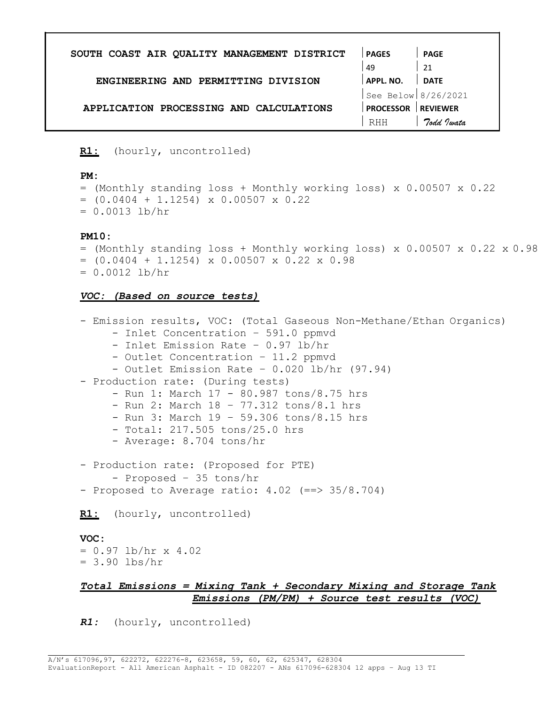| SOUTH COAST AIR QUALITY MANAGEMENT DISTRICT | <b>PAGES</b>        | <b>PAGE</b>     |
|---------------------------------------------|---------------------|-----------------|
|                                             | 49                  | 21              |
| ENGINEERING AND PERMITTING DIVISION         | APPL, NO.           | <b>DATE</b>     |
|                                             | See Below 8/26/2021 |                 |
| APPLICATION PROCESSING AND CALCULATIONS     | <b>PROCESSOR</b>    | <b>REVIEWER</b> |
|                                             | <b>RHH</b>          | Todd Justa      |
|                                             |                     |                 |

R1: (hourly, uncontrolled)

#### PM:

= (Monthly standing loss + Monthly working loss) x 0.00507 x 0.22  $= (0.0404 + 1.1254) \times 0.00507 \times 0.22$  $= 0.0013$  lb/hr

#### PM10:

- $=$  (Monthly standing loss + Monthly working loss) x 0.00507 x 0.22 x 0.98  $= (0.0404 + 1.1254) \times 0.00507 \times 0.22 \times 0.98$
- $= 0.0012$  lb/hr

#### VOC: (Based on source tests)

```
- Emission results, VOC: (Total Gaseous Non-Methane/Ethan Organics) 
     - Inlet Concentration – 591.0 ppmvd 
     - Inlet Emission Rate – 0.97 lb/hr 
     - Outlet Concentration – 11.2 ppmvd 
     - Outlet Emission Rate – 0.020 lb/hr (97.94) 
- Production rate: (During tests) 
     - Run 1: March 17 - 80.987 tons/8.75 hrs 
     - Run 2: March 18 – 77.312 tons/8.1 hrs 
     - Run 3: March 19 – 59.306 tons/8.15 hrs 
     - Total: 217.505 tons/25.0 hrs 
     - Average: 8.704 tons/hr 
- Production rate: (Proposed for PTE) 
     - Proposed – 35 tons/hr 
- Proposed to Average ratio: 4.02 (==> 35/8.704)
R1: (hourly, uncontrolled)
VOC: 
= 0.97 lb/hr x 4.02
= 3.90 lbs/hr
```
# Total Emissions = Mixing Tank + Secondary Mixing and Storage Tank Emissions (PM/PM) + Source test results (VOC)

R1: (hourly, uncontrolled)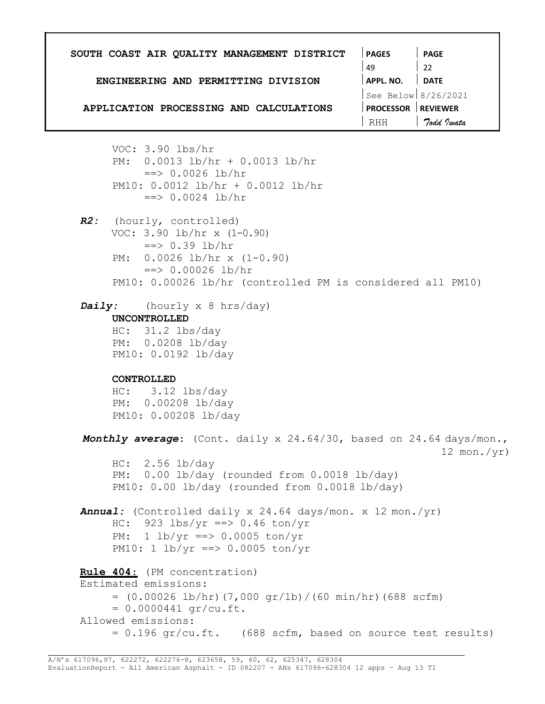| SOUTH COAST AIR QUALITY MANAGEMENT DISTRICT<br>ENGINEERING AND PERMITTING DIVISION<br>APPLICATION PROCESSING AND CALCULATIONS                                                                                                     | <b>PAGES</b><br><b>PAGE</b><br>49<br>APPL. NO. DATE<br>See Below $8/26/2021$<br><b>PROCESSOR REVIEWER</b><br>7odd Jwata<br>RHH |
|-----------------------------------------------------------------------------------------------------------------------------------------------------------------------------------------------------------------------------------|--------------------------------------------------------------------------------------------------------------------------------|
| VOC: $3.90$ lbs/hr<br>PM: 0.0013 lb/hr + 0.0013 lb/hr<br>$\Rightarrow$ 0.0026 lb/hr<br>PM10: $0.0012$ lb/hr + 0.0012 lb/hr<br>$==$ > 0.0024 lb/hr                                                                                 |                                                                                                                                |
| R2: (hourly, controlled)<br>VOC: $3.90$ lb/hr x $(1-0.90)$<br>$\Rightarrow$ 0.39 lb/hr<br>PM: $0.0026$ lb/hr x $(1-0.90)$<br>$\Rightarrow$ 0.00026 lb/hr<br>PM10: 0.00026 lb/hr (controlled PM is considered all PM10)            |                                                                                                                                |
| <b>Daily:</b> (hourly x 8 hrs/day)<br><b>UNCONTROLLED</b><br>$HC: 31.2$ lbs/day<br>PM: 0.0208 lb/day<br>PM10: 0.0192 lb/day<br>CONTROLLED<br>$HC: 3.12$ lbs/day<br>PM: 0.00208 lb/day<br>PM10: 0.00208 lb/day                     |                                                                                                                                |
| Monthly average: (Cont. daily x 24.64/30, based on 24.64 days/mon.,<br>HC: 2.56 lb/day<br>PM: 0.00 lb/day (rounded from 0.0018 lb/day)<br>PM10: 0.00 lb/day (rounded from 0.0018 lb/day)                                          | 12 mon./ $yr)$                                                                                                                 |
| Annual: (Controlled daily x 24.64 days/mon. x 12 mon./yr)<br>HC: $923 \text{ lbs/yr} == 0.46 \text{ton/yr}$<br>1 lb/yr ==> 0.0005 ton/yr<br>PM:<br>PM10: 1 lb/yr ==> 0.0005 ton/yr                                                |                                                                                                                                |
| Rule 404: (PM concentration)<br>Estimated emissions:<br>$=$ (0.00026 lb/hr) (7,000 gr/lb)/(60 min/hr) (688 scfm)<br>$= 0.0000441$ gr/cu.ft.<br>Allowed emissions:<br>$= 0.196$ gr/cu.ft. (688 scfm, based on source test results) |                                                                                                                                |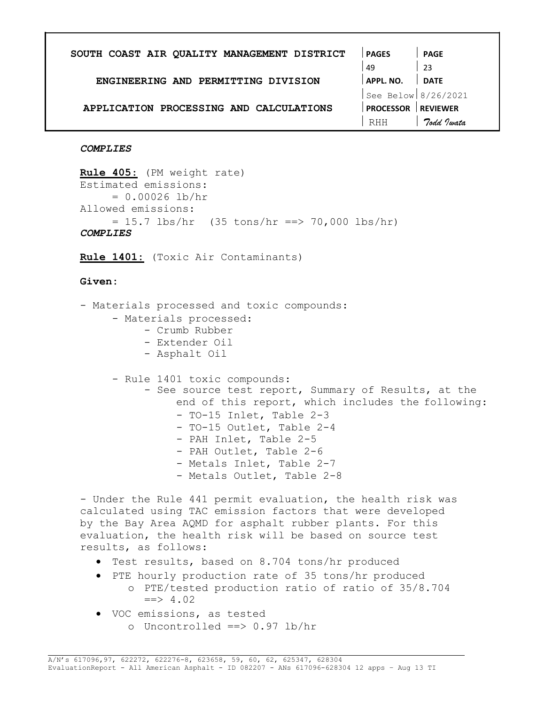| SOUTH COAST AIR QUALITY MANAGEMENT DISTRICT | <b>PAGES</b>        | <b>PAGE</b>     |
|---------------------------------------------|---------------------|-----------------|
|                                             | 49                  | -23             |
| ENGINEERING AND PERMITTING DIVISION         | APPL. NO.           | <b>DATE</b>     |
|                                             | See Below 8/26/2021 |                 |
| APPLICATION PROCESSING AND CALCULATIONS     | <b>PROCESSOR</b>    | <b>REVIEWER</b> |
|                                             | <b>RHH</b>          | Todd Justa      |
|                                             |                     |                 |

#### **COMPLIES**

Rule 405: (PM weight rate) Estimated emissions:  $= 0.00026$  lb/hr Allowed emissions:  $= 15.7$  lbs/hr (35 tons/hr ==> 70,000 lbs/hr) **COMPLIES** 

Rule 1401: (Toxic Air Contaminants)

#### Given:

- Materials processed and toxic compounds:
	- Materials processed:
		- Crumb Rubber
		- Extender Oil
		- Asphalt Oil

- Rule 1401 toxic compounds:

- See source test report, Summary of Results, at the end of this report, which includes the following:
	- TO-15 Inlet, Table 2-3
	- TO-15 Outlet, Table 2-4
	- PAH Inlet, Table 2-5
	- PAH Outlet, Table 2-6
	- Metals Inlet, Table 2-7
	- Metals Outlet, Table 2-8

- Under the Rule 441 permit evaluation, the health risk was calculated using TAC emission factors that were developed by the Bay Area AQMD for asphalt rubber plants. For this evaluation, the health risk will be based on source test results, as follows:

- Test results, based on 8.704 tons/hr produced
- PTE hourly production rate of 35 tons/hr produced o PTE/tested production ratio of ratio of 35/8.704  $\Rightarrow$  4.02
- VOC emissions, as tested o Uncontrolled ==> 0.97 lb/hr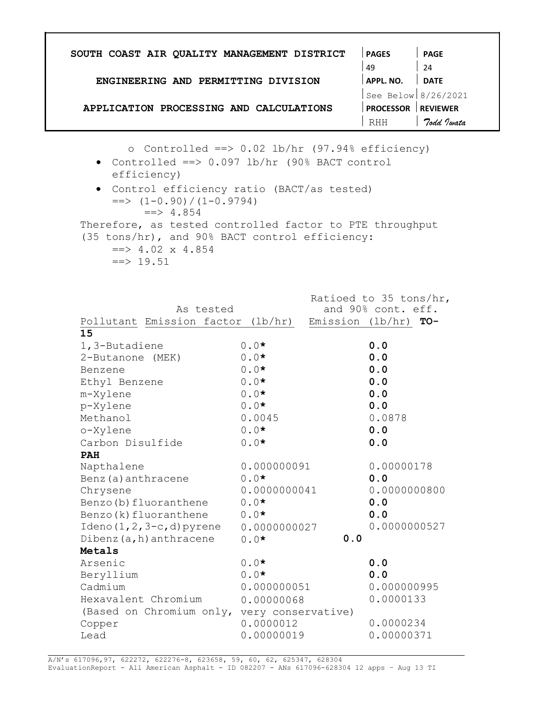| SOUTH COAST AIR QUALITY MANAGEMENT DISTRICT                                    |                                                                                                                                                                                                                                                                                                              | <b>PAGES</b>                                 | <b>PAGE</b>           |  |  |
|--------------------------------------------------------------------------------|--------------------------------------------------------------------------------------------------------------------------------------------------------------------------------------------------------------------------------------------------------------------------------------------------------------|----------------------------------------------|-----------------------|--|--|
|                                                                                |                                                                                                                                                                                                                                                                                                              | 49                                           | 24                    |  |  |
| ENGINEERING AND PERMITTING DIVISION                                            |                                                                                                                                                                                                                                                                                                              | APPL. NO.                                    | DATE                  |  |  |
|                                                                                |                                                                                                                                                                                                                                                                                                              |                                              | See Below $8/26/2021$ |  |  |
| APPLICATION PROCESSING AND CALCULATIONS                                        |                                                                                                                                                                                                                                                                                                              | <b>PROCESSOR REVIEWER</b>                    |                       |  |  |
|                                                                                |                                                                                                                                                                                                                                                                                                              | RHH                                          | Todd Iwata            |  |  |
|                                                                                |                                                                                                                                                                                                                                                                                                              |                                              |                       |  |  |
| efficiency)<br>$\Rightarrow$ 4.854<br>$\Rightarrow$ 4.02 x 4.854<br>$==$ 19.51 | o Controlled ==> $0.02$ lb/hr $(97.94\%$ efficiency)<br>• Controlled ==> 0.097 lb/hr (90% BACT control<br>• Control efficiency ratio (BACT/as tested)<br>$\Rightarrow$ $(1-0.90) / (1-0.9794)$<br>Therefore, as tested controlled factor to PTE throughput<br>(35 tons/hr), and 90% BACT control efficiency: |                                              |                       |  |  |
| As tested<br>Pollutant Emission factor (lb/hr)                                 | Emission (lb/hr) $TO-$                                                                                                                                                                                                                                                                                       | Ratioed to 35 tons/hr,<br>and 90% cont. eff. |                       |  |  |
| 15                                                                             | $0.0*$                                                                                                                                                                                                                                                                                                       | 0.0                                          |                       |  |  |
| 1,3-Butadiene<br>2-Butanone (MEK)                                              | $0.0*$                                                                                                                                                                                                                                                                                                       | 0.0                                          |                       |  |  |
| Benzene                                                                        | $0.0*$                                                                                                                                                                                                                                                                                                       | 0.0                                          |                       |  |  |
| Ethyl Benzene                                                                  | $0.0*$                                                                                                                                                                                                                                                                                                       | 0.0                                          |                       |  |  |
| m-Xylene                                                                       | $0.0*$                                                                                                                                                                                                                                                                                                       | 0.0                                          |                       |  |  |
| p-Xylene                                                                       | $0.0*$                                                                                                                                                                                                                                                                                                       | 0.0                                          |                       |  |  |
| Methanol                                                                       | 0.0045                                                                                                                                                                                                                                                                                                       | 0.0878                                       |                       |  |  |
| o-Xylene                                                                       | $0.0*$                                                                                                                                                                                                                                                                                                       | 0.0                                          |                       |  |  |
| Carbon Disulfide                                                               | $0.0*$                                                                                                                                                                                                                                                                                                       | 0.0                                          |                       |  |  |
| <b>PAH</b>                                                                     |                                                                                                                                                                                                                                                                                                              |                                              |                       |  |  |
| Napthalene                                                                     | 0.000000091                                                                                                                                                                                                                                                                                                  | 0.00000178                                   |                       |  |  |
| Benz (a) anthracene                                                            | $0.0*$                                                                                                                                                                                                                                                                                                       | 0.0                                          |                       |  |  |
| Chrysene                                                                       | 0.0000000041                                                                                                                                                                                                                                                                                                 | 0.0000000800                                 |                       |  |  |
| Benzo (b) fluoranthene                                                         | $0.0*$                                                                                                                                                                                                                                                                                                       | 0.0                                          |                       |  |  |
| Benzo (k) fluoranthene                                                         | $0.0*$                                                                                                                                                                                                                                                                                                       | 0.0                                          |                       |  |  |
| Ideno $(1, 2, 3-c, d)$ pyrene                                                  | 0.0000000027                                                                                                                                                                                                                                                                                                 | 0.0000000527                                 |                       |  |  |
| Dibenz $(a, h)$ anthracene                                                     | $0.0*$<br>0.0                                                                                                                                                                                                                                                                                                |                                              |                       |  |  |
| Metals                                                                         |                                                                                                                                                                                                                                                                                                              |                                              |                       |  |  |
| Arsenic                                                                        | $0.0*$                                                                                                                                                                                                                                                                                                       | 0.0                                          |                       |  |  |
| Beryllium                                                                      | $0.0*$                                                                                                                                                                                                                                                                                                       | 0.0                                          |                       |  |  |
| Cadmium                                                                        | 0.000000051                                                                                                                                                                                                                                                                                                  | 0.000000995                                  |                       |  |  |
| Hexavalent Chromium                                                            | 0.00000068                                                                                                                                                                                                                                                                                                   | 0.0000133                                    |                       |  |  |
|                                                                                |                                                                                                                                                                                                                                                                                                              |                                              |                       |  |  |
| (Based on Chromium only, very conservative)                                    |                                                                                                                                                                                                                                                                                                              | 0.0000234                                    |                       |  |  |
| Copper                                                                         | 0.0000012                                                                                                                                                                                                                                                                                                    |                                              |                       |  |  |
| Lead                                                                           | 0.00000019                                                                                                                                                                                                                                                                                                   | 0.00000371                                   |                       |  |  |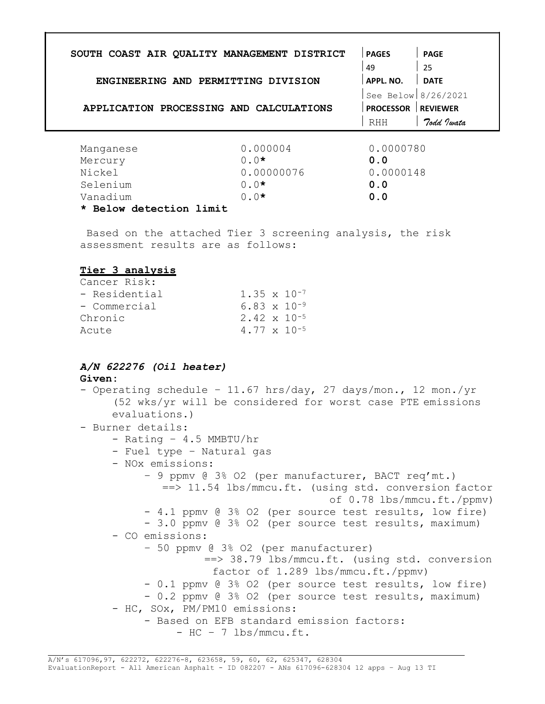| SOUTH COAST AIR QUALITY MANAGEMENT DISTRICT                            | <b>PAGES</b>              | <b>PAGE</b>                               |
|------------------------------------------------------------------------|---------------------------|-------------------------------------------|
|                                                                        | 49                        | $\begin{array}{c} \boxed{25} \end{array}$ |
| ENGINEERING AND PERMITTING DIVISION                                    | APPL. NO.   DATE          |                                           |
|                                                                        | See Below $8/26/2021$     |                                           |
| APPLICATION PROCESSING AND CALCULATIONS                                | <b>PROCESSOR REVIEWER</b> |                                           |
|                                                                        | RHH                       | 7odd Jwata                                |
| 0.000004<br>Manganese                                                  | 0.0000780                 |                                           |
| $0.0*$<br>Mercury                                                      | 0.0                       |                                           |
| Nickel<br>0.00000076                                                   | 0.0000148                 |                                           |
| $0.0*$<br>Selenium                                                     | 0.0                       |                                           |
| Vanadium<br>$0.0*$                                                     | 0.0                       |                                           |
| * Below detection limit                                                |                           |                                           |
| Based on the attached Tier 3 screening analysis, the risk              |                           |                                           |
| assessment results are as follows:                                     |                           |                                           |
| Tier 3 analysis                                                        |                           |                                           |
| Cancer Risk:                                                           |                           |                                           |
| $1.35 \times 10^{-7}$<br>- Residential                                 |                           |                                           |
|                                                                        |                           |                                           |
| $6.83 \times 10^{-9}$<br>- Commercial                                  |                           |                                           |
| 2.42 x 10 <sup>-5</sup><br>Chronic                                     |                           |                                           |
| 4.77 x 10 <sup>-5</sup><br>Acute                                       |                           |                                           |
| A/N 622276 (Oil heater)<br>Given:                                      |                           |                                           |
| - Operating schedule - 11.67 hrs/day, 27 days/mon., 12 mon./yr         |                           |                                           |
| (52 wks/yr will be considered for worst case PTE emissions             |                           |                                           |
| evaluations.)                                                          |                           |                                           |
| - Burner details:                                                      |                           |                                           |
| - Rating - $4.5$ MMBTU/hr                                              |                           |                                           |
| - Fuel type - Natural gas                                              |                           |                                           |
| - NOx emissions:                                                       |                           |                                           |
| - 9 ppmv @ 3% O2 (per manufacturer, BACT req'mt.)                      |                           |                                           |
| ==> 11.54 lbs/mmcu.ft. (using std. conversion factor                   |                           |                                           |
|                                                                        |                           |                                           |
| - 4.1 ppmv @ 3% O2 (per source test results, low fire)                 |                           |                                           |
| - 3.0 ppmv @ 3% 02 (per source test results, maximum)                  |                           |                                           |
| - CO emissions:                                                        |                           |                                           |
| - 50 ppmv @ 3% O2 (per manufacturer)                                   |                           |                                           |
| ==> 38.79 lbs/mmcu.ft. (using std. conversion                          |                           |                                           |
| factor of 1.289 lbs/mmcu.ft./ppmv)                                     |                           |                                           |
| - 0.1 ppmv @ 3% O2 (per source test results, low fire)                 |                           |                                           |
| - 0.2 ppmv @ 3% 02 (per source test results, maximum)                  |                           |                                           |
| - HC, SOx, PM/PM10 emissions:                                          |                           |                                           |
| - Based on EFB standard emission factors:<br>$-$ HC $-$ 7 lbs/mmcu.ft. |                           | of 0.78 lbs/mmcu.ft./ppmv)                |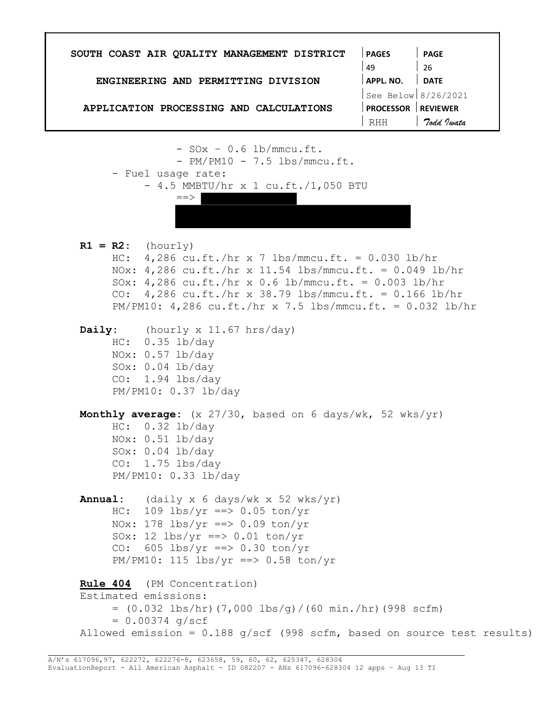PAGES 49 APPL. NO. PAGE 26 DATE SOUTH COAST AIR QUALITY MANAGEMENT DISTRICT ENGINEERING AND PERMITTING DIVISION See Below 8/26/2021 APPLICATION PROCESSING AND CALCULATIONS PROCESSOR REVIEWER RHH 7odd Iwata  $-$  SO $x - 0.6$  lb/mmcu.ft. - PM/PM10 - 7.5 lbs/mmcu.ft. - Fuel usage rate: - 4.5 MMBTU/hr x 1 cu.ft./1,050 BTU  $=$  $>$  $R1 = R2:$  (hourly) HC: 4,286 cu.ft./hr x 7 lbs/mmcu.ft. = 0.030 lb/hr NOx: 4,286 cu.ft./hr x 11.54 lbs/mmcu.ft. = 0.049 lb/hr SOx: 4,286 cu.ft./hr x 0.6 lb/mmcu.ft. = 0.003 lb/hr CO:  $4,286$  cu.ft./hr x 38.79 lbs/mmcu.ft. = 0.166 lb/hr PM/PM10: 4,286 cu.ft./hr x 7.5 lbs/mmcu.ft. = 0.032 lb/hr Daily: (hourly x 11.67 hrs/day) HC: 0.35 lb/day NOx: 0.57 lb/day SOx: 0.04 lb/day CO: 1.94 lbs/day PM/PM10: 0.37 lb/day Monthly average:  $(x \t27/30)$ , based on 6 days/wk, 52 wks/yr) HC: 0.32 lb/day NOx: 0.51 lb/day SOx: 0.04 lb/day CO: 1.75 lbs/day PM/PM10: 0.33 lb/day **Annual:** (daily x 6 days/wk x 52 wks/yr)  $HC: 109$   $lbs/yr == > 0.05$  ton/yr NOx:  $178$  lbs/yr ==> 0.09 ton/yr SOx: 12  $\frac{\text{ls}}{\text{ls}}$  /yr ==> 0.01 ton/yr CO:  $605 \text{ lbs/yr} == 0.30 \text{ton/yr}$  $PM/PM10: 115 lbs/yr == > 0.58 ton/yr$ Rule 404 (PM Concentration) Estimated emissions: = (0.032 lbs/hr)(7,000 lbs/g)/(60 min./hr)(998 scfm)  $= 0.00374$  g/scf Allowed emission = 0.188 g/scf (998 scfm, based on source test results)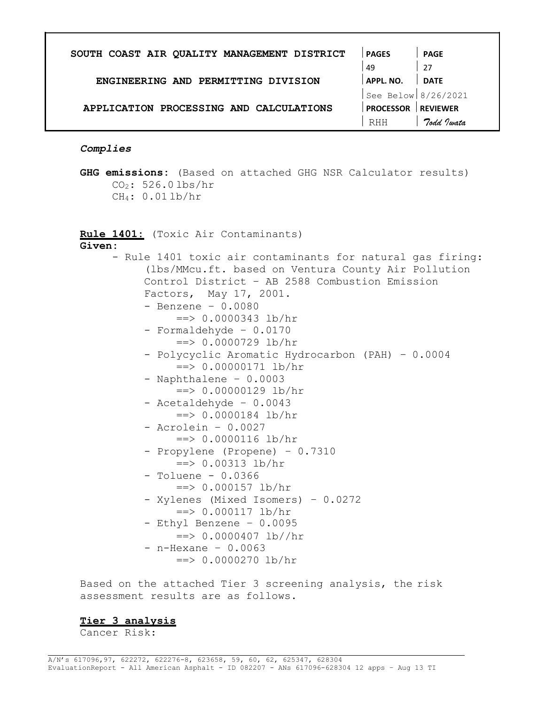| SOUTH COAST AIR QUALITY MANAGEMENT DISTRICT | <b>PAGES</b>        | <b>PAGE</b>     |
|---------------------------------------------|---------------------|-----------------|
|                                             | 49                  | -27             |
| ENGINEERING AND PERMITTING DIVISION         | APPL. NO.           | <b>DATE</b>     |
|                                             | See Below 8/26/2021 |                 |
| APPLICATION PROCESSING AND CALCULATIONS     | <b>PROCESSOR</b>    | <b>REVIEWER</b> |
|                                             | RHH                 | Todd Justa      |
|                                             |                     |                 |

## Complies

GHG emissions: (Based on attached GHG NSR Calculator results) CO2: 526.0 lbs/hr CH4: 0.01 lb/hr

Rule 1401: (Toxic Air Contaminants)

Given:

| - Rule 1401 toxic air contaminants for natural gas firing: |
|------------------------------------------------------------|
| (lbs/MMcu.ft. based on Ventura County Air Pollution        |
| Control District - AB 2588 Combustion Emission             |
| Factors, May 17, 2001.                                     |
| - Benzene - $0.0080$                                       |
| $==$ > 0.0000343 lb/hr                                     |
| - Formaldehyde - 0.0170                                    |
| $==$ > 0.0000729 lb/hr                                     |
| - Polycyclic Aromatic Hydrocarbon (PAH) - 0.0004           |
| $==$ > 0.00000171 lb/hr                                    |
| - Naphthalene - 0.0003                                     |
| $==$ > 0.00000129 lb/hr                                    |
| - Acetaldehyde - 0.0043                                    |
| $==$ > 0.0000184 lb/hr                                     |
| $-$ Acrolein - 0.0027                                      |
| $\Rightarrow$ 0.0000116 lb/hr                              |
| - Propylene (Propene) - 0.7310                             |
| $==$ > 0.00313 lb/hr                                       |
| $-$ Toluene $-$ 0.0366                                     |
| $==$ > 0.000157 lb/hr                                      |
| - Xylenes (Mixed Isomers) - 0.0272                         |
| $==$ > 0.000117 lb/hr                                      |
| - Ethyl Benzene - 0.0095                                   |
| $\Rightarrow$ 0.0000407 lb//hr                             |
| $-$ n-Hexane $-$ 0.0063                                    |
| $==$ > 0.0000270 lb/hr                                     |

Based on the attached Tier 3 screening analysis, the risk assessment results are as follows.

## Tier 3 analysis

Cancer Risk: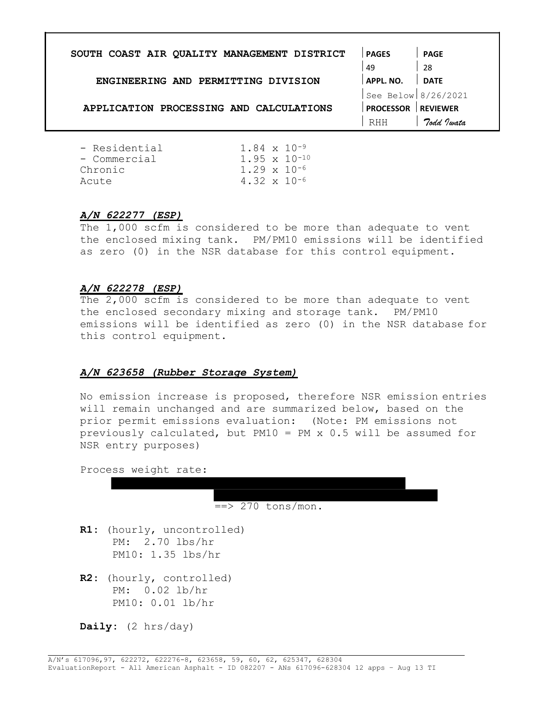| SOUTH COAST AIR QUALITY MANAGEMENT DISTRICT | <b>PAGES</b>          | <b>PAGE</b>     |
|---------------------------------------------|-----------------------|-----------------|
|                                             | 49                    | -28             |
| ENGINEERING AND PERMITTING DIVISION         | APPL. NO.             | <b>DATE</b>     |
|                                             | See Below $8/26/2021$ |                 |
| APPLICATION PROCESSING AND CALCULATIONS     | <b>PROCESSOR</b>      | <b>REVIEWER</b> |
|                                             | RHH                   | Todd Iwata      |
| - Residential<br>$1.84 \times 10^{-9}$      |                       |                 |

| - Residential | $1.84 \times 10^{-9}$  |  |
|---------------|------------------------|--|
| - Commercial  | $1.95 \times 10^{-10}$ |  |
| Chronic       | $1.29 \times 10^{-6}$  |  |
| Acute         | $4.32 \times 10^{-6}$  |  |
|               |                        |  |

## A/N 622277 (ESP)

The 1,000 scfm is considered to be more than adequate to vent the enclosed mixing tank. PM/PM10 emissions will be identified as zero (0) in the NSR database for this control equipment.

## A/N 622278 (ESP)

The 2,000 scfm is considered to be more than adequate to vent the enclosed secondary mixing and storage tank. PM/PM10 emissions will be identified as zero (0) in the NSR database for this control equipment.

## A/N 623658 (Rubber Storage System)

No emission increase is proposed, therefore NSR emission entries will remain unchanged and are summarized below, based on the prior permit emissions evaluation: (Note: PM emissions not previously calculated, but PM10 = PM x 0.5 will be assumed for NSR entry purposes)

Process weight rate:

 $\Rightarrow$  270 tons/mon.

- R1: (hourly, uncontrolled) PM: 2.70 lbs/hr PM10: 1.35 lbs/hr
- R2: (hourly, controlled) PM: 0.02 lb/hr PM10: 0.01 lb/hr

Daily:  $(2 \text{ hrs/day})$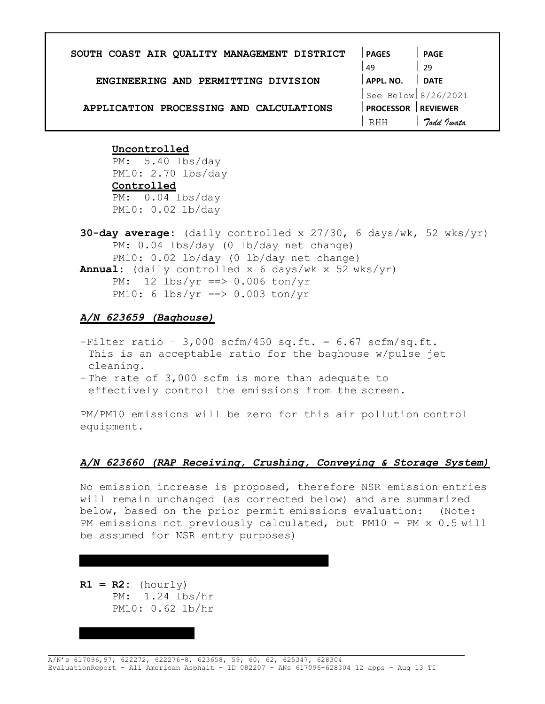| SOUTH COAST AIR QUALITY MANAGEMENT DISTRICT | <b>PAGES</b>        | <b>PAGE</b>     |
|---------------------------------------------|---------------------|-----------------|
|                                             | 49                  | 29              |
| ENGINEERING AND PERMITTING DIVISION         | <b>APPL. NO.</b>    | <b>DATE</b>     |
|                                             | See Below 8/26/2021 |                 |
| APPLICATION PROCESSING AND CALCULATIONS     | <b>PROCESSOR</b>    | <b>REVIEWER</b> |
|                                             | RHH                 | Todd Jwata      |
|                                             |                     |                 |

### Uncontrolled

PM: 5.40 lbs/day PM10: 2.70 lbs/day **Controlled** PM: 0.04 lbs/day PM10: 0.02 lb/day

**30-day average:** (daily controlled x  $27/30$ , 6 days/wk, 52 wks/yr) PM: 0.04 lbs/day (0 lb/day net change) PM10: 0.02 lb/day (0 lb/day net change) Annual: (daily controlled x 6 days/wk x 52 wks/yr) PM: 12 lbs/yr ==> 0.006 ton/yr PM10: 6 lbs/yr ==> 0.003 ton/yr

## A/N 623659 (Baghouse)

- $-Filter ratio 3,000 scfm/450 sq.fit. = 6.67 scfm/sq.fit.$ This is an acceptable ratio for the baghouse w/pulse jet cleaning.
- The rate of 3,000 scfm is more than adequate to effectively control the emissions from the screen.

PM/PM10 emissions will be zero for this air pollution control equipment.

#### A/N 623660 (RAP Receiving, Crushing, Conveying & Storage System)

No emission increase is proposed, therefore NSR emission entries will remain unchanged (as corrected below) and are summarized below, based on the prior permit emissions evaluation: (Note: PM emissions not previously calculated, but PM10 = PM x 0.5 will be assumed for NSR entry purposes)

 $R1 = R2:$  (hourly) PM: 1.24 lbs/hr PM10: 0.62 lb/hr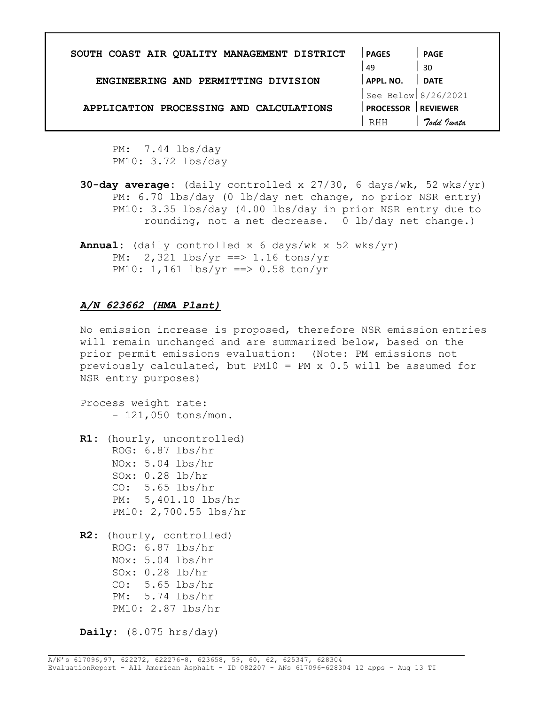| SOUTH COAST AIR QUALITY MANAGEMENT DISTRICT | <b>PAGES</b>        | <b>PAGE</b>     |
|---------------------------------------------|---------------------|-----------------|
|                                             | 49                  | 30              |
| ENGINEERING AND PERMITTING DIVISION         | APPL. NO.           | <b>DATE</b>     |
|                                             | See Below 8/26/2021 |                 |
| APPLICATION PROCESSING AND CALCULATIONS     | <b>PROCESSOR</b>    | <b>REVIEWER</b> |
|                                             | RHH                 | Todd Jwata      |
|                                             |                     |                 |

PM: 7.44 lbs/day PM10: 3.72 lbs/day

- **30-day average:** (daily controlled x  $27/30$ , 6 days/wk, 52 wks/yr) PM: 6.70 lbs/day (0 lb/day net change, no prior NSR entry) PM10: 3.35 lbs/day (4.00 lbs/day in prior NSR entry due to rounding, not a net decrease. 0 lb/day net change.)
- **Annual:** (daily controlled x 6 days/wk x 52 wks/yr) PM: 2,321 lbs/yr ==> 1.16 tons/yr PM10: 1,161 lbs/yr ==> 0.58 ton/yr

## A/N 623662 (HMA Plant)

No emission increase is proposed, therefore NSR emission entries will remain unchanged and are summarized below, based on the prior permit emissions evaluation: (Note: PM emissions not previously calculated, but PM10 = PM x 0.5 will be assumed for NSR entry purposes)

Process weight rate: - 121,050 tons/mon.

R1: (hourly, uncontrolled) ROG: 6.87 lbs/hr NOx: 5.04 lbs/hr SOx: 0.28 lb/hr CO: 5.65 lbs/hr PM: 5,401.10 lbs/hr PM10: 2,700.55 lbs/hr

R2: (hourly, controlled) ROG: 6.87 lbs/hr NOx: 5.04 lbs/hr SOx: 0.28 lb/hr CO: 5.65 lbs/hr PM: 5.74 lbs/hr PM10: 2.87 lbs/hr

Daily:  $(8.075 \text{ hrs/day})$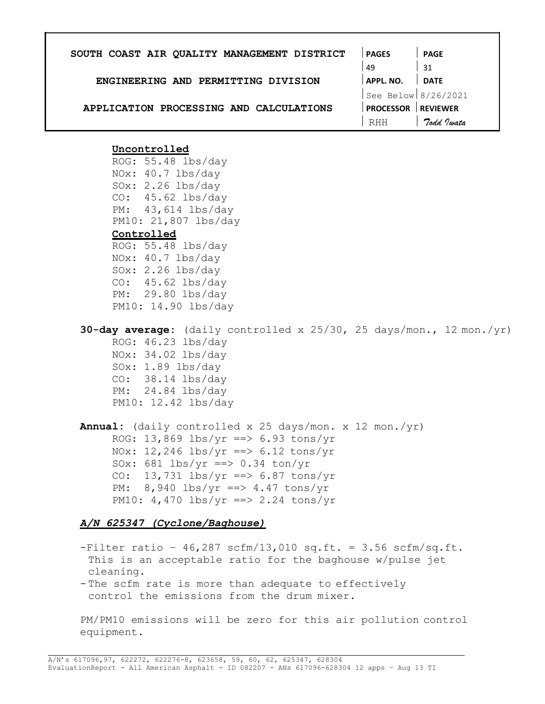| SOUTH COAST AIR QUALITY MANAGEMENT DISTRICT | <b>PAGES</b>        | <b>PAGE</b>     |
|---------------------------------------------|---------------------|-----------------|
|                                             | 49                  | 31              |
| ENGINEERING AND PERMITTING DIVISION         | <b>APPL. NO.</b>    | <b>DATE</b>     |
|                                             | See Below 8/26/2021 |                 |
| APPLICATION PROCESSING AND CALCULATIONS     | <b>PROCESSOR</b>    | <b>REVIEWER</b> |
|                                             | RHH                 | Todd Jwata      |

ROG: 55.48 lbs/day NOx: 40.7 lbs/day SOx: 2.26 lbs/day CO: 45.62 lbs/day PM: 43,614 lbs/day PM10: 21,807 lbs/day

# **Controlled**

ROG: 55.48 lbs/day NOx: 40.7 lbs/day SOx: 2.26 lbs/day CO: 45.62 lbs/day PM: 29.80 lbs/day PM10: 14.90 lbs/day

**30-day average:** (daily controlled x  $25/30$ ,  $25$  days/mon.,  $12$  mon./yr) ROG: 46.23 lbs/day NOx: 34.02 lbs/day SOx: 1.89 lbs/day

CO: 38.14 lbs/day PM: 24.84 lbs/day PM10: 12.42 lbs/day

Annual: (daily controlled x 25 days/mon. x 12 mon./yr) ROG: 13,869 lbs/yr ==> 6.93 tons/yr NOx: 12,246 lbs/yr ==>  $6.12$  tons/yr SOx: 681  $\frac{\text{ls}}{\text{ls}}$  ==> 0.34 ton/yr CO: 13,731 lbs/yr ==>  $6.87$  tons/yr PM:  $8,940$  lbs/yr ==> 4.47 tons/yr PM10:  $4,470$  lbs/yr ==> 2.24 tons/yr

## A/N 625347 (Cyclone/Baghouse)

 $-Finter$  ratio - 46,287 scfm/13,010 sq.ft. = 3.56 scfm/sq.ft. This is an acceptable ratio for the baghouse w/pulse jet cleaning.

- The scfm rate is more than adequate to effectively control the emissions from the drum mixer.

PM/PM10 emissions will be zero for this air pollution control equipment.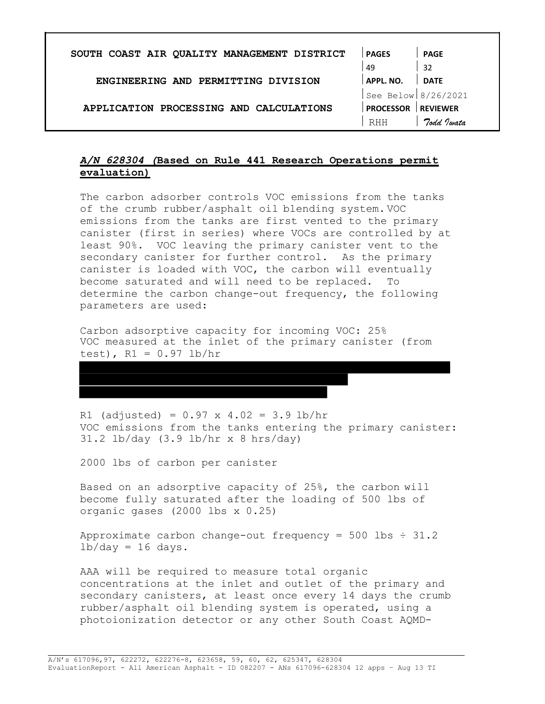| SOUTH COAST AIR QUALITY MANAGEMENT DISTRICT | <b>PAGES</b>        | <b>PAGE</b>     |
|---------------------------------------------|---------------------|-----------------|
|                                             | 49                  | 32              |
| ENGINEERING AND PERMITTING DIVISION         | APPL. NO.           | <b>DATE</b>     |
|                                             | See Below 8/26/2021 |                 |
| APPLICATION PROCESSING AND CALCULATIONS     | <b>PROCESSOR</b>    | <b>REVIEWER</b> |
|                                             | RHH                 | Todd Justa      |

# A/N 628304 (Based on Rule 441 Research Operations permit evaluation)

The carbon adsorber controls VOC emissions from the tanks of the crumb rubber/asphalt oil blending system. VOC emissions from the tanks are first vented to the primary canister (first in series) where VOCs are controlled by at least 90%. VOC leaving the primary canister vent to the secondary canister for further control. As the primary canister is loaded with VOC, the carbon will eventually become saturated and will need to be replaced. To determine the carbon change-out frequency, the following parameters are used:

Carbon adsorptive capacity for incoming VOC: 25% VOC measured at the inlet of the primary canister (from test),  $R1 = 0.97$  lb/hr

R1 (adjusted) =  $0.97 \times 4.02 = 3.9 \text{ lb/hr}$ VOC emissions from the tanks entering the primary canister: 31.2 lb/day (3.9 lb/hr x 8 hrs/day)

2000 lbs of carbon per canister

Based on an adsorptive capacity of 25%, the carbon will become fully saturated after the loading of 500 lbs of organic gases (2000 lbs x 0.25)

Approximate carbon change-out frequency =  $500$  lbs  $\div$  31.2  $lb/day = 16 days.$ 

AAA will be required to measure total organic concentrations at the inlet and outlet of the primary and secondary canisters, at least once every 14 days the crumb rubber/asphalt oil blending system is operated, using a photoionization detector or any other South Coast AQMD-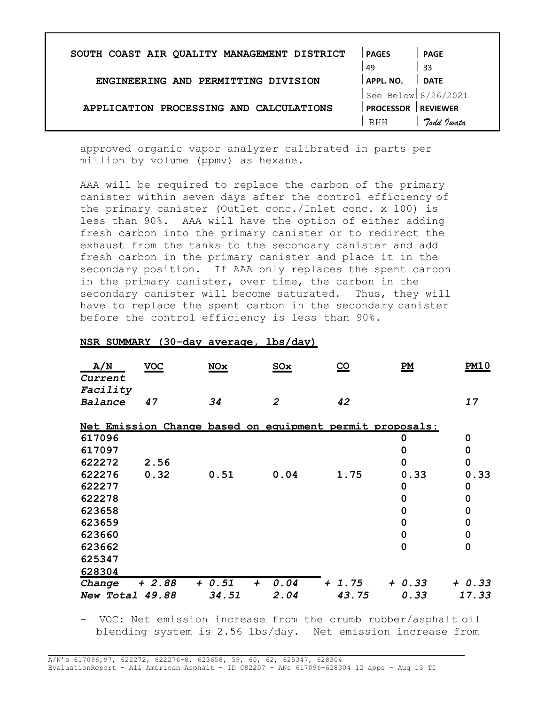| SOUTH COAST AIR QUALITY MANAGEMENT DISTRICT | <b>PAGES</b>        | <b>PAGE</b>     |
|---------------------------------------------|---------------------|-----------------|
|                                             | 49                  | -33             |
| ENGINEERING AND PERMITTING DIVISION         | APPL. NO.           | <b>DATE</b>     |
|                                             | See Below 8/26/2021 |                 |
| APPLICATION PROCESSING AND CALCULATIONS     | <b>PROCESSOR</b>    | <b>REVIEWER</b> |
|                                             | <b>RHH</b>          | Todd Justa      |

approved organic vapor analyzer calibrated in parts per million by volume (ppmv) as hexane.

AAA will be required to replace the carbon of the primary canister within seven days after the control efficiency of the primary canister (Outlet conc./Inlet conc. x 100) is less than 90%. AAA will have the option of either adding fresh carbon into the primary canister or to redirect the exhaust from the tanks to the secondary canister and add fresh carbon in the primary canister and place it in the secondary position. If AAA only replaces the spent carbon in the primary canister, over time, the carbon in the secondary canister will become saturated. Thus, they will have to replace the spent carbon in the secondary canister before the control efficiency is less than 90%.

| A/N<br>Current  | <b>VOC</b>                                               | <b>NOx</b>                 | SOx            | $\underline{\mathsf{co}}$ | $\underline{PM}$ | <u>PM10</u> |
|-----------------|----------------------------------------------------------|----------------------------|----------------|---------------------------|------------------|-------------|
| Facility        |                                                          |                            |                |                           |                  |             |
| Balance         | 47                                                       | 34                         | $\overline{2}$ | 42                        |                  | 17          |
|                 | Net Emission Change based on equipment permit proposals: |                            |                |                           |                  |             |
| 617096          |                                                          |                            |                |                           | 0                | 0           |
| 617097          |                                                          |                            |                |                           | ი                | 0           |
| 622272          | 2.56                                                     |                            |                |                           | 0                | 0           |
| 622276          | 0.32                                                     | 0.51                       | 0.04           | 1.75                      | 0.33             | 0.33        |
| 622277          |                                                          |                            |                |                           | 0                | 0           |
| 622278          |                                                          |                            |                |                           | 0                | 0           |
| 623658          |                                                          |                            |                |                           | 0                | 0           |
| 623659          |                                                          |                            |                |                           | 0                | 0           |
| 623660          |                                                          |                            |                |                           | 0                | 0           |
| 623662          |                                                          |                            |                |                           | 0                | 0           |
| 625347          |                                                          |                            |                |                           |                  |             |
| 628304          |                                                          |                            |                |                           |                  |             |
| Change          | $+2.88$                                                  | $+ 0.51$<br>$\overline{+}$ | 0.04<br>$\div$ | 1.75                      | $+ 0.33$         | + 0.33      |
| New Total 49.88 |                                                          | 34.51                      | 2.04           | 43.75                     | 0.33             | 17.33       |

### NSR SUMMARY (30-day average, lbs/day)

- VOC: Net emission increase from the crumb rubber/asphalt oil blending system is 2.56 lbs/day. Net emission increase from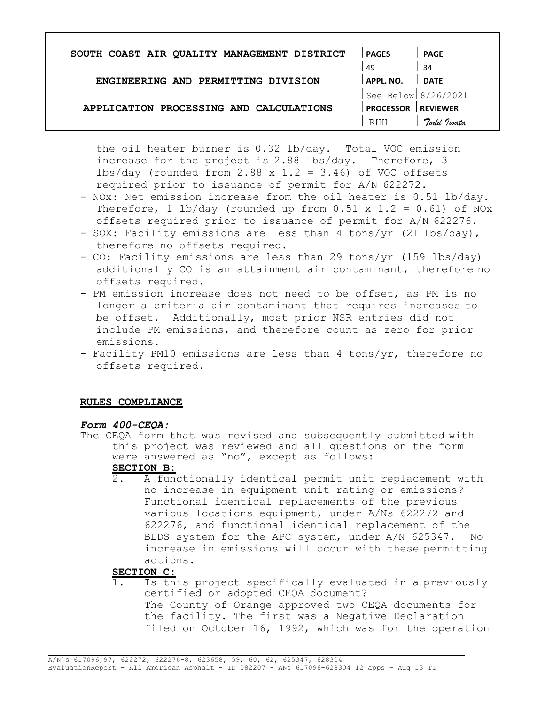| SOUTH COAST AIR QUALITY MANAGEMENT DISTRICT | <b>PAGES</b>        | <b>PAGE</b>     |
|---------------------------------------------|---------------------|-----------------|
|                                             | 49                  | 34              |
| ENGINEERING AND PERMITTING DIVISION         | APPL. NO.           | <b>DATE</b>     |
|                                             | See Below 8/26/2021 |                 |
| APPLICATION PROCESSING AND CALCULATIONS     | <b>PROCESSOR</b>    | <b>REVIEWER</b> |
|                                             | RHH                 | Todd Justa      |

the oil heater burner is 0.32 lb/day. Total VOC emission increase for the project is 2.88 lbs/day. Therefore, 3 lbs/day (rounded from  $2.88 \times 1.2 = 3.46$ ) of VOC offsets required prior to issuance of permit for A/N 622272.

- NOx: Net emission increase from the oil heater is 0.51 lb/day. Therefore, 1 lb/day (rounded up from  $0.51 \times 1.2 = 0.61$ ) of NOx offsets required prior to issuance of permit for A/N 622276.
- SOX: Facility emissions are less than 4 tons/yr (21 lbs/day), therefore no offsets required.
- CO: Facility emissions are less than 29 tons/yr (159 lbs/day) additionally CO is an attainment air contaminant, therefore no offsets required.
- PM emission increase does not need to be offset, as PM is no longer a criteria air contaminant that requires increases to be offset. Additionally, most prior NSR entries did not include PM emissions, and therefore count as zero for prior emissions.
- Facility PM10 emissions are less than 4 tons/yr, therefore no offsets required.

#### RULES COMPLIANCE

#### Form 400-CEQA:

The CEQA form that was revised and subsequently submitted with this project was reviewed and all questions on the form were answered as "no", except as follows:

# SECTION B:

2. A functionally identical permit unit replacement with no increase in equipment unit rating or emissions? Functional identical replacements of the previous various locations equipment, under A/Ns 622272 and 622276, and functional identical replacement of the BLDS system for the APC system, under A/N 625347. No increase in emissions will occur with these permitting actions.

# SECTION C:

Is this project specifically evaluated in a previously certified or adopted CEQA document? The County of Orange approved two CEQA documents for the facility. The first was a Negative Declaration filed on October 16, 1992, which was for the operation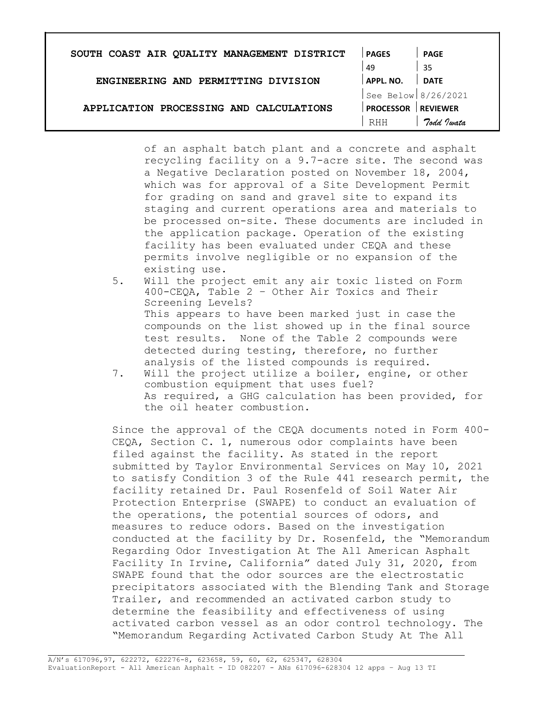| SOUTH COAST AIR QUALITY MANAGEMENT DISTRICT | <b>PAGES</b>        | <b>PAGE</b>     |
|---------------------------------------------|---------------------|-----------------|
|                                             | 49                  | 35              |
| ENGINEERING AND PERMITTING DIVISION         | APPL. NO.           | <b>DATE</b>     |
|                                             | See Below 8/26/2021 |                 |
| APPLICATION PROCESSING AND CALCULATIONS     | <b>PROCESSOR</b>    | <b>REVIEWER</b> |
|                                             | RHH                 | Todd Jwata      |

of an asphalt batch plant and a concrete and asphalt recycling facility on a 9.7-acre site. The second was a Negative Declaration posted on November 18, 2004, which was for approval of a Site Development Permit for grading on sand and gravel site to expand its staging and current operations area and materials to be processed on-site. These documents are included in the application package. Operation of the existing facility has been evaluated under CEQA and these permits involve negligible or no expansion of the existing use.

- 5. Will the project emit any air toxic listed on Form 400-CEQA, Table 2 – Other Air Toxics and Their Screening Levels? This appears to have been marked just in case the compounds on the list showed up in the final source test results. None of the Table 2 compounds were detected during testing, therefore, no further analysis of the listed compounds is required.
- 7. Will the project utilize a boiler, engine, or other combustion equipment that uses fuel? As required, a GHG calculation has been provided, for the oil heater combustion.

Since the approval of the CEQA documents noted in Form 400- CEQA, Section C. 1, numerous odor complaints have been filed against the facility. As stated in the report submitted by Taylor Environmental Services on May 10, 2021 to satisfy Condition 3 of the Rule 441 research permit, the facility retained Dr. Paul Rosenfeld of Soil Water Air Protection Enterprise (SWAPE) to conduct an evaluation of the operations, the potential sources of odors, and measures to reduce odors. Based on the investigation conducted at the facility by Dr. Rosenfeld, the "Memorandum Regarding Odor Investigation At The All American Asphalt Facility In Irvine, California" dated July 31, 2020, from SWAPE found that the odor sources are the electrostatic precipitators associated with the Blending Tank and Storage Trailer, and recommended an activated carbon study to determine the feasibility and effectiveness of using activated carbon vessel as an odor control technology. The "Memorandum Regarding Activated Carbon Study At The All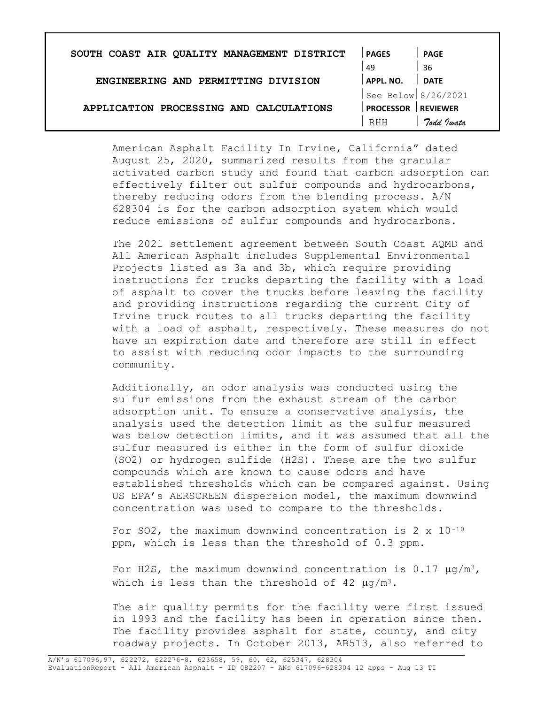| SOUTH COAST AIR QUALITY MANAGEMENT DISTRICT | <b>PAGES</b>          | <b>PAGE</b>     |
|---------------------------------------------|-----------------------|-----------------|
|                                             | -49                   | -36             |
| ENGINEERING AND PERMITTING DIVISION         | APPL. NO.             | <b>DATE</b>     |
|                                             | See Below $8/26/2021$ |                 |
| APPLICATION PROCESSING AND CALCULATIONS     | <b>PROCESSOR</b>      | <b>REVIEWER</b> |
|                                             | RHH                   | Todd Justa      |

American Asphalt Facility In Irvine, California" dated August 25, 2020, summarized results from the granular activated carbon study and found that carbon adsorption can effectively filter out sulfur compounds and hydrocarbons, thereby reducing odors from the blending process. A/N 628304 is for the carbon adsorption system which would reduce emissions of sulfur compounds and hydrocarbons.

The 2021 settlement agreement between South Coast AQMD and All American Asphalt includes Supplemental Environmental Projects listed as 3a and 3b, which require providing instructions for trucks departing the facility with a load of asphalt to cover the trucks before leaving the facility and providing instructions regarding the current City of Irvine truck routes to all trucks departing the facility with a load of asphalt, respectively. These measures do not have an expiration date and therefore are still in effect to assist with reducing odor impacts to the surrounding community.

Additionally, an odor analysis was conducted using the sulfur emissions from the exhaust stream of the carbon adsorption unit. To ensure a conservative analysis, the analysis used the detection limit as the sulfur measured was below detection limits, and it was assumed that all the sulfur measured is either in the form of sulfur dioxide (SO2) or hydrogen sulfide (H2S). These are the two sulfur compounds which are known to cause odors and have established thresholds which can be compared against. Using US EPA's AERSCREEN dispersion model, the maximum downwind concentration was used to compare to the thresholds.

For SO2, the maximum downwind concentration is  $2 \times 10^{-10}$ ppm, which is less than the threshold of 0.3 ppm.

For H2S, the maximum downwind concentration is 0.17  $\mu q/m^3$ , which is less than the threshold of 42  $\mu q/m^3$ .

The air quality permits for the facility were first issued in 1993 and the facility has been in operation since then. The facility provides asphalt for state, county, and city roadway projects. In October 2013, AB513, also referred to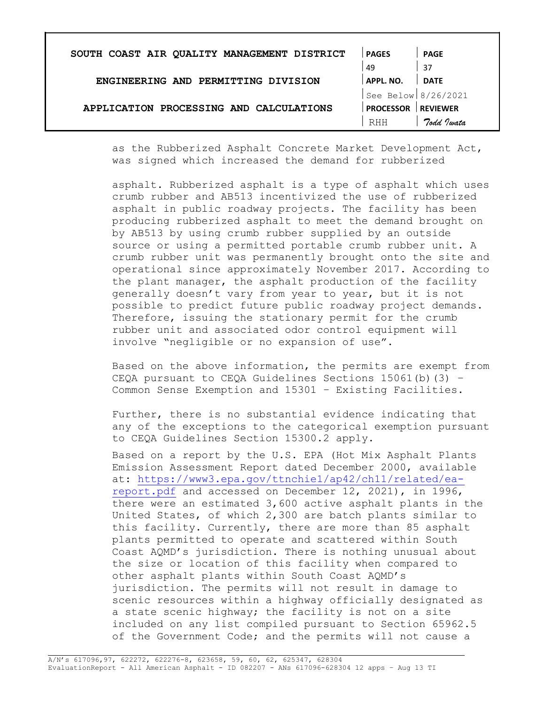| SOUTH COAST AIR QUALITY MANAGEMENT DISTRICT | <b>PAGES</b>                 | <b>PAGE</b>     |
|---------------------------------------------|------------------------------|-----------------|
|                                             | 49                           | 37              |
| ENGINEERING AND PERMITTING DIVISION         | APPL. NO.                    | <b>DATE</b>     |
|                                             | $\text{See Below} 8/26/2021$ |                 |
| APPLICATION PROCESSING AND CALCULATIONS     | <b>PROCESSOR</b>             | <b>REVIEWER</b> |
|                                             | RHH                          | Todd Twata      |

as the Rubberized Asphalt Concrete Market Development Act, was signed which increased the demand for rubberized

asphalt. Rubberized asphalt is a type of asphalt which uses crumb rubber and AB513 incentivized the use of rubberized asphalt in public roadway projects. The facility has been producing rubberized asphalt to meet the demand brought on by AB513 by using crumb rubber supplied by an outside source or using a permitted portable crumb rubber unit. A crumb rubber unit was permanently brought onto the site and operational since approximately November 2017. According to the plant manager, the asphalt production of the facility generally doesn't vary from year to year, but it is not possible to predict future public roadway project demands. Therefore, issuing the stationary permit for the crumb rubber unit and associated odor control equipment will involve "negligible or no expansion of use".

Based on the above information, the permits are exempt from CEQA pursuant to CEQA Guidelines Sections 15061(b)(3) – Common Sense Exemption and 15301 – Existing Facilities.

Further, there is no substantial evidence indicating that any of the exceptions to the categorical exemption pursuant to CEQA Guidelines Section 15300.2 apply.

Based on a report by the U.S. EPA (Hot Mix Asphalt Plants Emission Assessment Report dated December 2000, available at: https://www3.epa.gov/ttnchie1/ap42/ch11/related/eareport.pdf and accessed on December 12, 2021), in 1996, there were an estimated 3,600 active asphalt plants in the United States, of which 2,300 are batch plants similar to this facility. Currently, there are more than 85 asphalt plants permitted to operate and scattered within South Coast AQMD's jurisdiction. There is nothing unusual about the size or location of this facility when compared to other asphalt plants within South Coast AQMD's jurisdiction. The permits will not result in damage to scenic resources within a highway officially designated as a state scenic highway; the facility is not on a site included on any list compiled pursuant to Section 65962.5 of the Government Code; and the permits will not cause a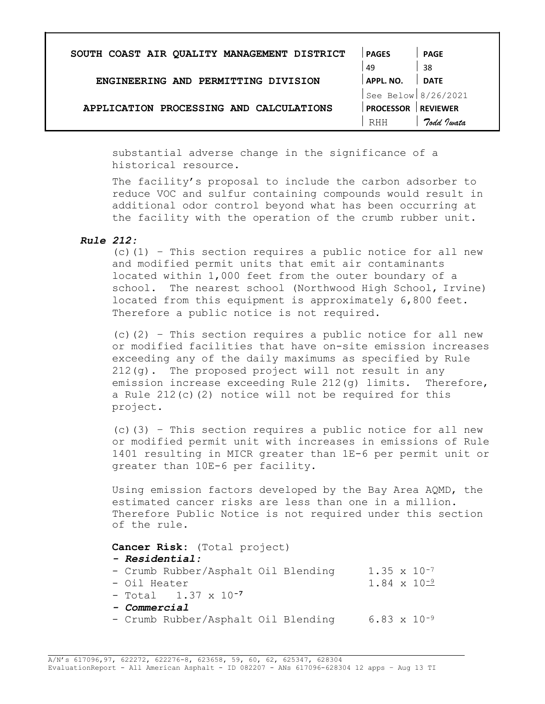| SOUTH COAST AIR QUALITY MANAGEMENT DISTRICT | <b>PAGES</b>        | <b>PAGE</b>     |
|---------------------------------------------|---------------------|-----------------|
|                                             | 49                  | -38             |
| ENGINEERING AND PERMITTING DIVISION         | <b>APPL, NO.</b>    | <b>DATE</b>     |
|                                             | See Below 8/26/2021 |                 |
| APPLICATION PROCESSING AND CALCULATIONS     | <b>PROCESSOR</b>    | <b>REVIEWER</b> |
|                                             | RHH                 | Todd Twata      |

substantial adverse change in the significance of a historical resource.

The facility's proposal to include the carbon adsorber to reduce VOC and sulfur containing compounds would result in additional odor control beyond what has been occurring at the facility with the operation of the crumb rubber unit.

## Rule 212:

 $(c)$  (1) - This section requires a public notice for all new and modified permit units that emit air contaminants located within 1,000 feet from the outer boundary of a school. The nearest school (Northwood High School, Irvine) located from this equipment is approximately 6,800 feet. Therefore a public notice is not required.

(c)(2) – This section requires a public notice for all new or modified facilities that have on-site emission increases exceeding any of the daily maximums as specified by Rule 212(g). The proposed project will not result in any emission increase exceeding Rule 212(g) limits. Therefore, a Rule  $212(c)(2)$  notice will not be required for this project.

 $(c)$  (3) – This section requires a public notice for all new or modified permit unit with increases in emissions of Rule 1401 resulting in MICR greater than 1E-6 per permit unit or greater than 10E-6 per facility.

Using emission factors developed by the Bay Area AQMD, the estimated cancer risks are less than one in a million. Therefore Public Notice is not required under this section of the rule.

Cancer Risk: (Total project)

- Residential:

| - Crumb Rubber/Asphalt Oil Blending   | $1.35 \times 10^{-7}$ |  |
|---------------------------------------|-----------------------|--|
| - Oil Heater                          | $1.84 \times 10^{-9}$ |  |
| $-$ Total $-1.37 \times 10^{-7}$      |                       |  |
| - Commercial                          |                       |  |
| $-$ Crumb Pubbor/Lophalt Oil Plonding | $602 \times 10^{-9}$  |  |

Crumb Rubber/Asphalt Oil Blending 6.83 x 10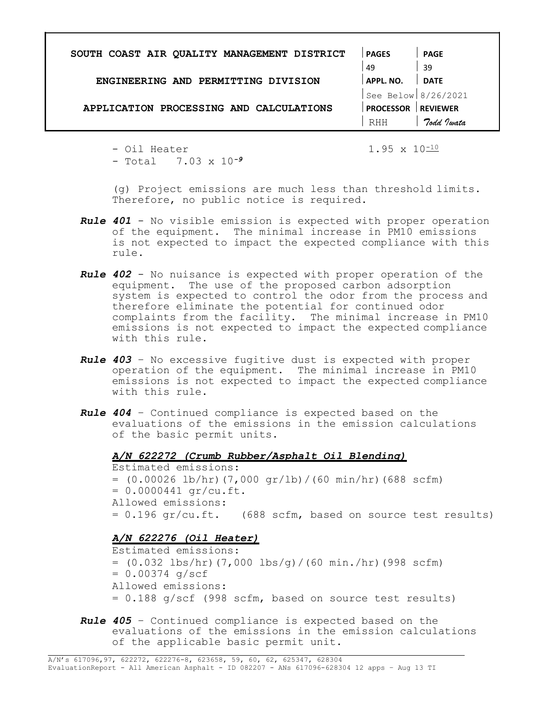| SOUTH COAST AIR QUALITY MANAGEMENT DISTRICT | <b>PAGES</b>        | PAGE            |
|---------------------------------------------|---------------------|-----------------|
|                                             | 49                  | 39              |
| ENGINEERING AND PERMITTING DIVISION         | APPL. NO.           | <b>DATE</b>     |
|                                             | See Below 8/26/2021 |                 |
| APPLICATION PROCESSING AND CALCULATIONS     | <b>PROCESSOR</b>    | <b>REVIEWER</b> |
|                                             | RHH                 | Todd Jwata      |
|                                             |                     |                 |

- Oil Heater 1.95 x 10<sup>-10</sup>  $-$  Total  $7.03 \times 10^{-9}$ 

(g) Project emissions are much less than threshold limits. Therefore, no public notice is required.

- Rule 401 No visible emission is expected with proper operation of the equipment. The minimal increase in PM10 emissions is not expected to impact the expected compliance with this rule.
- Rule 402 No nuisance is expected with proper operation of the equipment. The use of the proposed carbon adsorption system is expected to control the odor from the process and therefore eliminate the potential for continued odor complaints from the facility. The minimal increase in PM10 emissions is not expected to impact the expected compliance with this rule.
- Rule 403 No excessive fugitive dust is expected with proper operation of the equipment. The minimal increase in PM10 emissions is not expected to impact the expected compliance with this rule.
- Rule 404 Continued compliance is expected based on the evaluations of the emissions in the emission calculations of the basic permit units.

A/N 622272 (Crumb Rubber/Asphalt Oil Blending)

Estimated emissions:  $= (0.00026 \text{ lb/hr})$  $(7,000 \text{ gr/lb}) / (60 \text{ min/hr})$  $(688 \text{ scfm})$  $= 0.0000441$  gr/cu.ft. Allowed emissions:  $= 0.196$  gr/cu.ft. (688 scfm, based on source test results)

## A/N 622276 (Oil Heater)

Estimated emissions:  $= (0.032 \text{ lbs/hr})$  $(7,000 \text{ lbs/q}) / (60 \text{ min./hr})$  $(998 \text{ scfm})$  $= 0.00374$  g/scf Allowed emissions:  $= 0.188$  g/scf (998 scfm, based on source test results)

Rule 405 - Continued compliance is expected based on the evaluations of the emissions in the emission calculations of the applicable basic permit unit.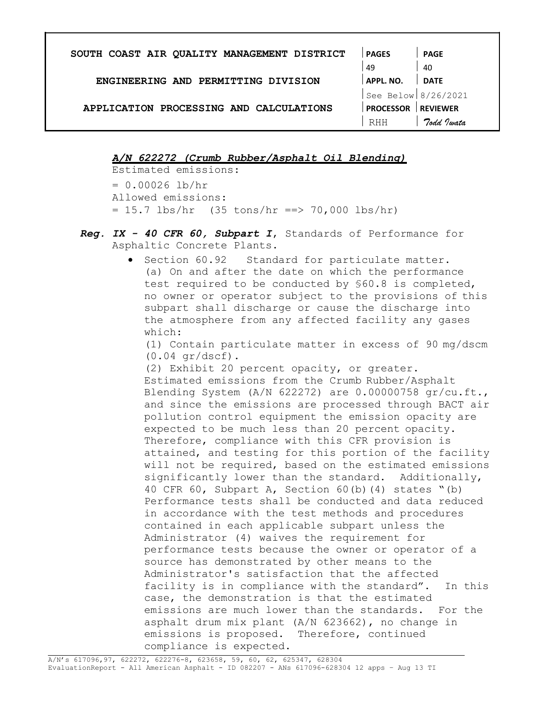| SOUTH COAST AIR QUALITY MANAGEMENT DISTRICT | <b>PAGES</b>        | <b>PAGE</b>     |
|---------------------------------------------|---------------------|-----------------|
|                                             | 49                  | 40              |
| ENGINEERING AND PERMITTING DIVISION         | <b>APPL. NO.</b>    | <b>DATE</b>     |
|                                             | See Below 8/26/2021 |                 |
| APPLICATION PROCESSING AND CALCULATIONS     | <b>PROCESSOR</b>    | <b>REVIEWER</b> |
|                                             | RHH                 | Todd Justa      |

A/N 622272 (Crumb Rubber/Asphalt Oil Blending)

Estimated emissions:  $= 0.00026$  lb/hr Allowed emissions:  $= 15.7$  lbs/hr (35 tons/hr ==> 70,000 lbs/hr)

- Reg. IX 40 CFR 60, Subpart I, Standards of Performance for Asphaltic Concrete Plants.
	- **•** Section 60.92 Standard for particulate matter. (a) On and after the date on which the performance test required to be conducted by §60.8 is completed, no owner or operator subject to the provisions of this subpart shall discharge or cause the discharge into the atmosphere from any affected facility any gases which:

(1) Contain particulate matter in excess of 90 mg/dscm  $(0.04$  gr/dscf).

(2) Exhibit 20 percent opacity, or greater. Estimated emissions from the Crumb Rubber/Asphalt Blending System  $(A/N 622272)$  are 0.00000758 gr/cu.ft., and since the emissions are processed through BACT air pollution control equipment the emission opacity are expected to be much less than 20 percent opacity. Therefore, compliance with this CFR provision is attained, and testing for this portion of the facility will not be required, based on the estimated emissions significantly lower than the standard. Additionally, 40 CFR 60, Subpart A, Section 60(b)(4) states "(b) Performance tests shall be conducted and data reduced in accordance with the test methods and procedures contained in each applicable subpart unless the Administrator (4) waives the requirement for performance tests because the owner or operator of a source has demonstrated by other means to the Administrator's satisfaction that the affected facility is in compliance with the standard". In this case, the demonstration is that the estimated emissions are much lower than the standards. For the asphalt drum mix plant (A/N 623662), no change in emissions is proposed. Therefore, continued compliance is expected.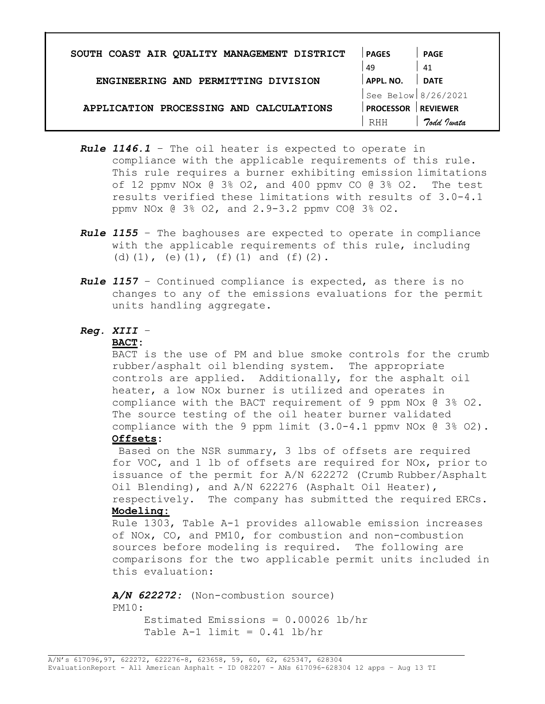| SOUTH COAST AIR QUALITY MANAGEMENT DISTRICT | <b>PAGES</b>        | <b>PAGE</b>     |
|---------------------------------------------|---------------------|-----------------|
|                                             | 49                  | 41              |
| ENGINEERING AND PERMITTING DIVISION         | APPL. NO.           | <b>DATE</b>     |
|                                             | See Below 8/26/2021 |                 |
| APPLICATION PROCESSING AND CALCULATIONS     | <b>PROCESSOR</b>    | <b>REVIEWER</b> |
|                                             | <b>RHH</b>          | Todd Jwata      |

- Rule 1146.1 The oil heater is expected to operate in compliance with the applicable requirements of this rule. This rule requires a burner exhibiting emission limitations of 12 ppmv NOx  $\theta$  3% O2, and 400 ppmv CO  $\theta$  3% O2. The test results verified these limitations with results of 3.0-4.1 ppmv NOx @ 3% O2, and 2.9-3.2 ppmv CO@ 3% O2.
- Rule 1155 The baghouses are expected to operate in compliance with the applicable requirements of this rule, including (d)(1), (e)(1),  $(f)(1)$  and  $(f)(2)$ .
- Rule 1157 Continued compliance is expected, as there is no changes to any of the emissions evaluations for the permit units handling aggregate.

#### Reg. XIII –

### BACT:

BACT is the use of PM and blue smoke controls for the crumb rubber/asphalt oil blending system. The appropriate controls are applied. Additionally, for the asphalt oil heater, a low NOx burner is utilized and operates in compliance with the BACT requirement of 9 ppm NOx @ 3% O2. The source testing of the oil heater burner validated compliance with the 9 ppm limit  $(3.0-4.1$  ppmv NOx  $(0.38)$  O2).

## Offsets:

Based on the NSR summary, 3 lbs of offsets are required for VOC, and 1 lb of offsets are required for NOx, prior to issuance of the permit for A/N 622272 (Crumb Rubber/Asphalt Oil Blending), and A/N 622276 (Asphalt Oil Heater), respectively. The company has submitted the required ERCs.

## Modeling:

Rule 1303, Table A-1 provides allowable emission increases of NOx, CO, and PM10, for combustion and non-combustion sources before modeling is required. The following are comparisons for the two applicable permit units included in this evaluation:

A/N 622272: (Non-combustion source) PM10: Estimated Emissions = 0.00026 lb/hr

Table  $A-1$  limit =  $0.41$  lb/hr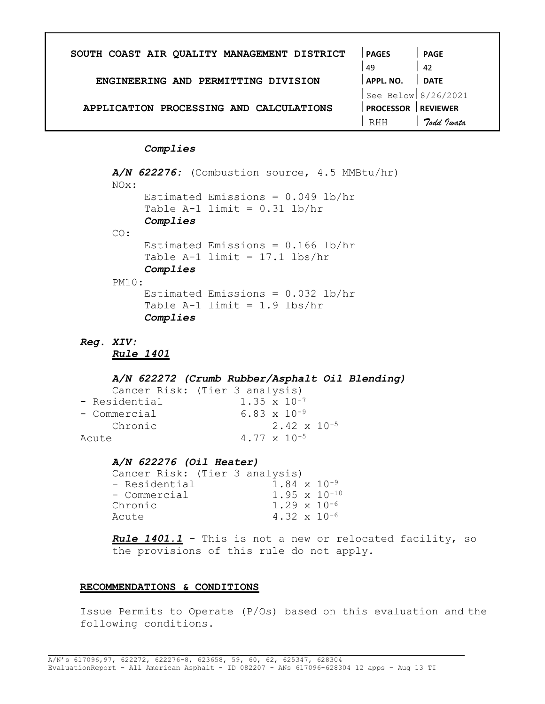| SOUTH COAST AIR QUALITY MANAGEMENT DISTRICT | <b>PAGES</b>          | <b>PAGE</b>     |
|---------------------------------------------|-----------------------|-----------------|
|                                             | 49                    | -42             |
| ENGINEERING AND PERMITTING DIVISION         | APPL, NO.             | <b>DATE</b>     |
|                                             | See Below $8/26/2021$ |                 |
| APPLICATION PROCESSING AND CALCULATIONS     | <b>PROCESSOR</b>      | <b>REVIEWER</b> |
|                                             | RHH                   | Todd Justa      |

Complies

```
A/N 622276: (Combustion source, 4.5 MMBtu/hr)
NOx: 
CO: 
     Estimated Emissions = 0.049 lb/hr
     Table A-1 limit = 0.31 lb/hr
     Complies 
     Estimated Emissions = 0.166 lb/hr 
     Table A-1 limit = 17.1 lbs/hr
     Complies 
PM10: 
     Estimated Emissions = 0.032 lb/hr 
     Table A-1 limit = 1.9 lbs/hr
     Complies
```

```
Reg. XIV:
```
Rule 1401

#### A/N 622272 (Crumb Rubber/Asphalt Oil Blending)

|               | Cancer Risk: (Tier 3 analysis) |  |
|---------------|--------------------------------|--|
| - Residential | $1.35 \times 10^{-7}$          |  |
| - Commercial  | 6.83 $\times$ 10 <sup>-9</sup> |  |
| Chronic       | $2.42 \times 10^{-5}$          |  |
| Acute         | 4.77 $\times$ 10 <sup>-5</sup> |  |

#### A/N 622276 (Oil Heater)

| Cancer Risk: (Tier 3 analysis)         |  |
|----------------------------------------|--|
| $1.84 \times 10^{-9}$<br>- Residential |  |
| $1.95 \times 10^{-10}$<br>- Commercial |  |
| $1.29 \times 10^{-6}$<br>Chronic       |  |
| $4.32 \times 10^{-6}$<br>Acute         |  |

Rule 1401.1 - This is not a new or relocated facility, so the provisions of this rule do not apply.

#### RECOMMENDATIONS & CONDITIONS

Issue Permits to Operate (P/Os) based on this evaluation and the following conditions.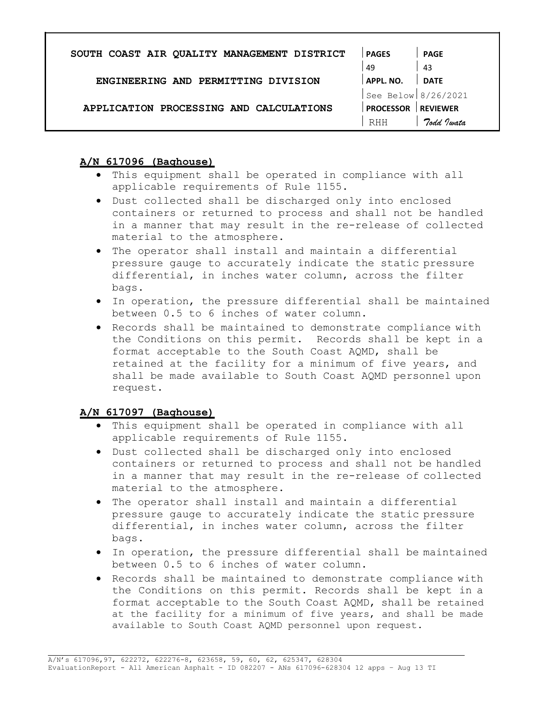| <b>PAGES</b>     | <b>PAGE</b>         |
|------------------|---------------------|
| 49               | -43                 |
| : APPL. NO.      | <b>DATE</b>         |
|                  |                     |
| <b>PROCESSOR</b> | <b>REVIEWER</b>     |
| RHH              | Todd Justa          |
|                  | See Below 8/26/2021 |

# A/N 617096 (Baghouse)

- This equipment shall be operated in compliance with all applicable requirements of Rule 1155.
- Dust collected shall be discharged only into enclosed containers or returned to process and shall not be handled in a manner that may result in the re-release of collected material to the atmosphere.
- The operator shall install and maintain a differential pressure gauge to accurately indicate the static pressure differential, in inches water column, across the filter bags.
- In operation, the pressure differential shall be maintained between 0.5 to 6 inches of water column.
- Records shall be maintained to demonstrate compliance with the Conditions on this permit. Records shall be kept in a format acceptable to the South Coast AQMD, shall be retained at the facility for a minimum of five years, and shall be made available to South Coast AQMD personnel upon request.

# A/N 617097 (Baghouse)

- This equipment shall be operated in compliance with all applicable requirements of Rule 1155.
- Dust collected shall be discharged only into enclosed containers or returned to process and shall not be handled in a manner that may result in the re-release of collected material to the atmosphere.
- The operator shall install and maintain a differential pressure gauge to accurately indicate the static pressure differential, in inches water column, across the filter bags.
- In operation, the pressure differential shall be maintained between 0.5 to 6 inches of water column.
- Records shall be maintained to demonstrate compliance with the Conditions on this permit. Records shall be kept in a format acceptable to the South Coast AQMD, shall be retained at the facility for a minimum of five years, and shall be made available to South Coast AQMD personnel upon request.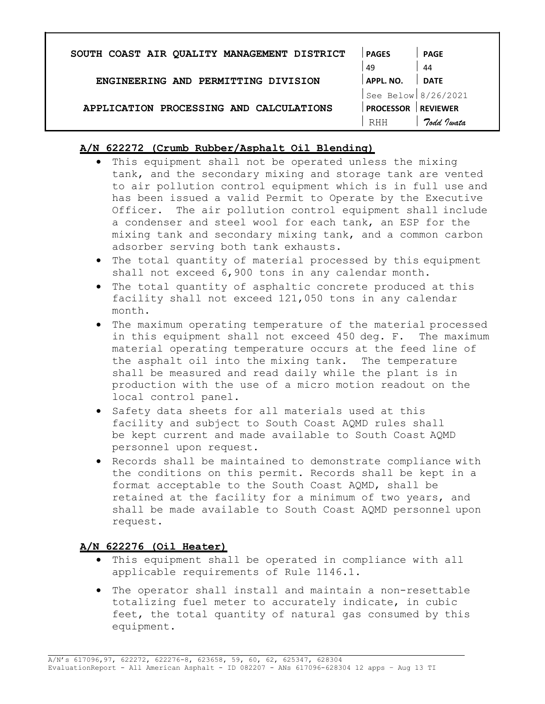| SOUTH COAST AIR QUALITY MANAGEMENT DISTRICT | <b>PAGES</b>        | <b>PAGE</b>     |
|---------------------------------------------|---------------------|-----------------|
|                                             | 49                  | 44              |
| ENGINEERING AND PERMITTING DIVISION         | APPL. NO.           | <b>DATE</b>     |
|                                             | See Below 8/26/2021 |                 |
| APPLICATION PROCESSING AND CALCULATIONS     | <b>PROCESSOR</b>    | <b>REVIEWER</b> |
|                                             | RHH                 | Todd Jwata      |

# A/N 622272 (Crumb Rubber/Asphalt Oil Blending)

- This equipment shall not be operated unless the mixing tank, and the secondary mixing and storage tank are vented to air pollution control equipment which is in full use and has been issued a valid Permit to Operate by the Executive Officer. The air pollution control equipment shall include a condenser and steel wool for each tank, an ESP for the mixing tank and secondary mixing tank, and a common carbon adsorber serving both tank exhausts.
- The total quantity of material processed by this equipment shall not exceed 6,900 tons in any calendar month.
- The total quantity of asphaltic concrete produced at this facility shall not exceed 121,050 tons in any calendar month.
- The maximum operating temperature of the material processed in this equipment shall not exceed 450 deg. F. The maximum material operating temperature occurs at the feed line of the asphalt oil into the mixing tank. The temperature shall be measured and read daily while the plant is in production with the use of a micro motion readout on the local control panel.
- Safety data sheets for all materials used at this facility and subject to South Coast AQMD rules shall be kept current and made available to South Coast AQMD personnel upon request.
- Records shall be maintained to demonstrate compliance with the conditions on this permit. Records shall be kept in a format acceptable to the South Coast AQMD, shall be retained at the facility for a minimum of two years, and shall be made available to South Coast AQMD personnel upon request.

# A/N 622276 (Oil Heater)

- This equipment shall be operated in compliance with all applicable requirements of Rule 1146.1.
- The operator shall install and maintain a non-resettable totalizing fuel meter to accurately indicate, in cubic feet, the total quantity of natural gas consumed by this equipment.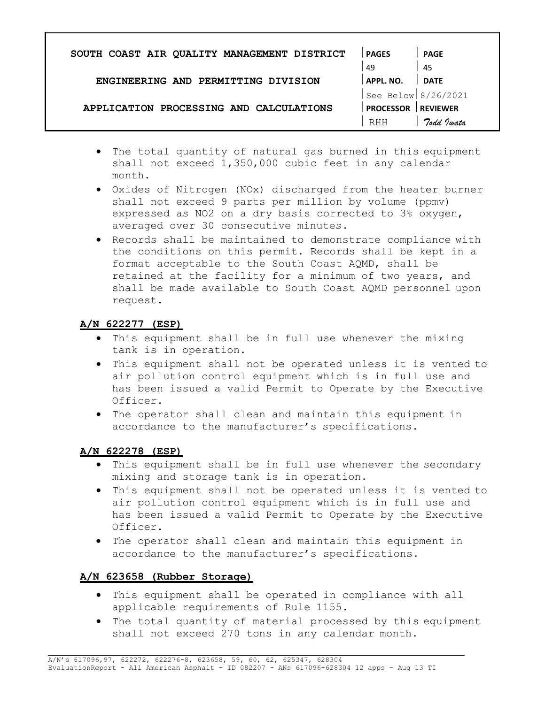| SOUTH COAST AIR QUALITY MANAGEMENT DISTRICT | <b>PAGES</b>          | PAGE            |
|---------------------------------------------|-----------------------|-----------------|
|                                             | 49                    | -45             |
| ENGINEERING AND PERMITTING DIVISION         | APPL, NO.             | <b>DATE</b>     |
|                                             | See Below $8/26/2021$ |                 |
| APPLICATION PROCESSING AND CALCULATIONS     | <b>PROCESSOR</b>      | <b>REVIEWER</b> |
|                                             | RHH                   | Todd Jwata      |
|                                             |                       |                 |

- The total quantity of natural gas burned in this equipment shall not exceed 1,350,000 cubic feet in any calendar month.
- Oxides of Nitrogen (NOx) discharged from the heater burner shall not exceed 9 parts per million by volume (ppmv) expressed as NO2 on a dry basis corrected to 3% oxygen, averaged over 30 consecutive minutes.
- Records shall be maintained to demonstrate compliance with the conditions on this permit. Records shall be kept in a format acceptable to the South Coast AQMD, shall be retained at the facility for a minimum of two years, and shall be made available to South Coast AQMD personnel upon request.

# A/N 622277 (ESP)

- This equipment shall be in full use whenever the mixing tank is in operation.
- This equipment shall not be operated unless it is vented to air pollution control equipment which is in full use and has been issued a valid Permit to Operate by the Executive Officer.
- The operator shall clean and maintain this equipment in accordance to the manufacturer's specifications.

# A/N 622278 (ESP)

- This equipment shall be in full use whenever the secondary mixing and storage tank is in operation.
- This equipment shall not be operated unless it is vented to air pollution control equipment which is in full use and has been issued a valid Permit to Operate by the Executive Officer.
- The operator shall clean and maintain this equipment in accordance to the manufacturer's specifications.

# A/N 623658 (Rubber Storage)

- This equipment shall be operated in compliance with all applicable requirements of Rule 1155.
- The total quantity of material processed by this equipment shall not exceed 270 tons in any calendar month.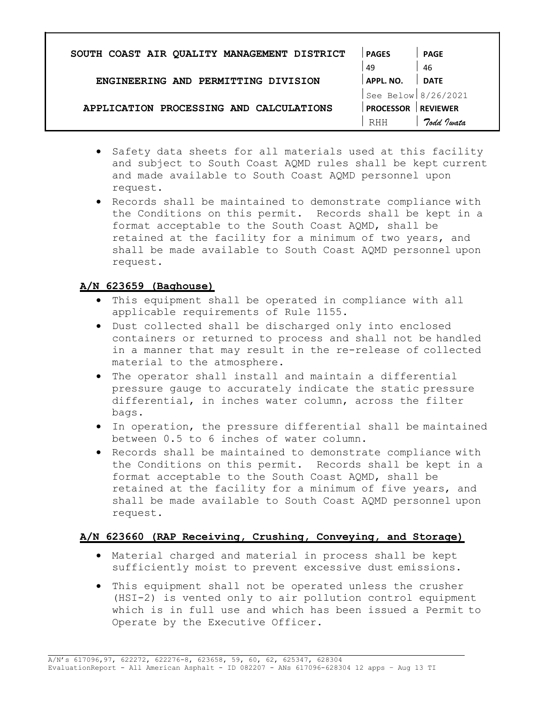| SOUTH COAST AIR QUALITY MANAGEMENT DISTRICT | <b>PAGES</b>        | <b>PAGE</b>     |
|---------------------------------------------|---------------------|-----------------|
|                                             | 49                  | -46             |
| ENGINEERING AND PERMITTING DIVISION         | APPL. NO.           | <b>DATE</b>     |
|                                             | See Below 8/26/2021 |                 |
| APPLICATION PROCESSING AND CALCULATIONS     | <b>PROCESSOR</b>    | <b>REVIEWER</b> |
|                                             | <b>RHH</b>          | Todd Jwata      |

- Safety data sheets for all materials used at this facility and subject to South Coast AQMD rules shall be kept current and made available to South Coast AQMD personnel upon request.
- Records shall be maintained to demonstrate compliance with the Conditions on this permit. Records shall be kept in a format acceptable to the South Coast AQMD, shall be retained at the facility for a minimum of two years, and shall be made available to South Coast AQMD personnel upon request.

# A/N 623659 (Baghouse)

- This equipment shall be operated in compliance with all applicable requirements of Rule 1155.
- Dust collected shall be discharged only into enclosed containers or returned to process and shall not be handled in a manner that may result in the re-release of collected material to the atmosphere.
- The operator shall install and maintain a differential pressure gauge to accurately indicate the static pressure differential, in inches water column, across the filter bags.
- In operation, the pressure differential shall be maintained between 0.5 to 6 inches of water column.
- Records shall be maintained to demonstrate compliance with the Conditions on this permit. Records shall be kept in a format acceptable to the South Coast AQMD, shall be retained at the facility for a minimum of five years, and shall be made available to South Coast AQMD personnel upon request.

# A/N 623660 (RAP Receiving, Crushing, Conveying, and Storage)

- Material charged and material in process shall be kept sufficiently moist to prevent excessive dust emissions.
- This equipment shall not be operated unless the crusher (HSI-2) is vented only to air pollution control equipment which is in full use and which has been issued a Permit to Operate by the Executive Officer.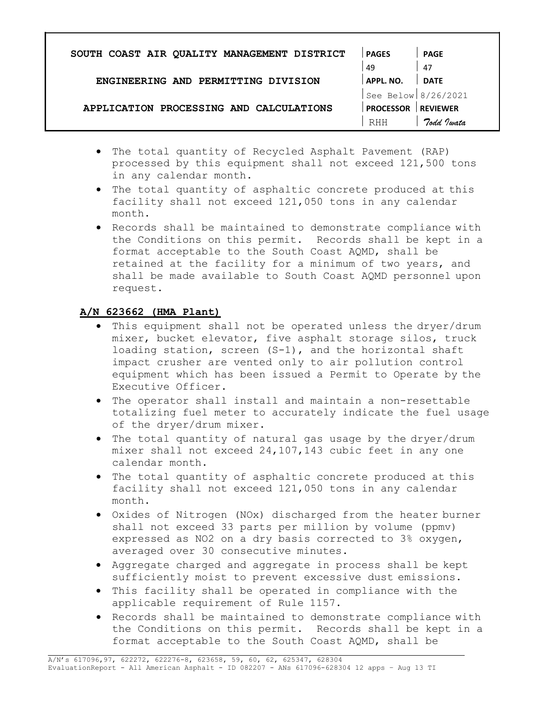| SOUTH COAST AIR QUALITY MANAGEMENT DISTRICT | <b>PAGES</b>        | <b>PAGE</b>     |
|---------------------------------------------|---------------------|-----------------|
|                                             | 49                  | 47              |
| ENGINEERING AND PERMITTING DIVISION         | APPL. NO.           | <b>DATE</b>     |
|                                             | See Below 8/26/2021 |                 |
| APPLICATION PROCESSING AND CALCULATIONS     | <b>PROCESSOR</b>    | <b>REVIEWER</b> |
|                                             | RHH                 | Todd Justa      |
|                                             |                     |                 |

- The total quantity of Recycled Asphalt Pavement (RAP) processed by this equipment shall not exceed 121,500 tons in any calendar month.
- The total quantity of asphaltic concrete produced at this facility shall not exceed 121,050 tons in any calendar month.
- Records shall be maintained to demonstrate compliance with the Conditions on this permit. Records shall be kept in a format acceptable to the South Coast AQMD, shall be retained at the facility for a minimum of two years, and shall be made available to South Coast AQMD personnel upon request.

# A/N 623662 (HMA Plant)

- This equipment shall not be operated unless the dryer/drum mixer, bucket elevator, five asphalt storage silos, truck loading station, screen (S-1), and the horizontal shaft impact crusher are vented only to air pollution control equipment which has been issued a Permit to Operate by the Executive Officer.
- The operator shall install and maintain a non-resettable totalizing fuel meter to accurately indicate the fuel usage of the dryer/drum mixer.
- The total quantity of natural gas usage by the dryer/drum mixer shall not exceed 24,107,143 cubic feet in any one calendar month.
- The total quantity of asphaltic concrete produced at this facility shall not exceed 121,050 tons in any calendar month.
- Oxides of Nitrogen (NOx) discharged from the heater burner shall not exceed 33 parts per million by volume (ppmv) expressed as NO2 on a dry basis corrected to 3% oxygen, averaged over 30 consecutive minutes.
- Aggregate charged and aggregate in process shall be kept sufficiently moist to prevent excessive dust emissions.
- This facility shall be operated in compliance with the applicable requirement of Rule 1157.
- Records shall be maintained to demonstrate compliance with the Conditions on this permit. Records shall be kept in a format acceptable to the South Coast AQMD, shall be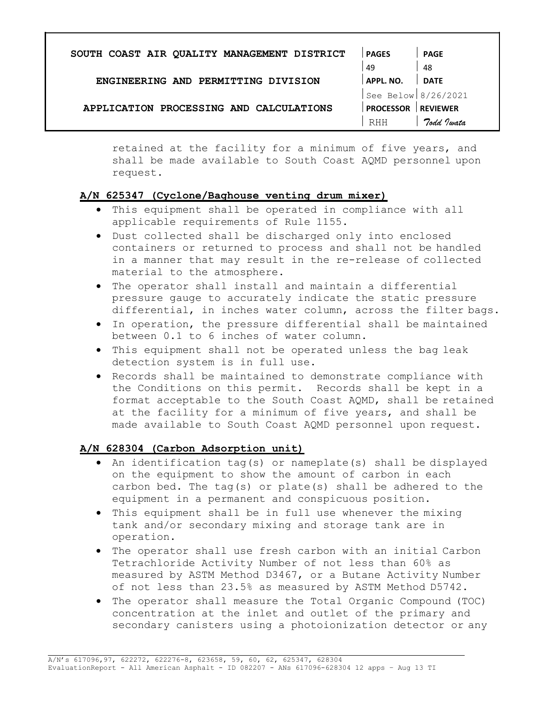| SOUTH COAST AIR QUALITY MANAGEMENT DISTRICT | <b>PAGES</b>        | <b>PAGE</b>     |
|---------------------------------------------|---------------------|-----------------|
|                                             | 49                  | 48              |
| ENGINEERING AND PERMITTING DIVISION         | APPL. NO.           | <b>DATE</b>     |
|                                             | See Below 8/26/2021 |                 |
| APPLICATION PROCESSING AND CALCULATIONS     | <b>PROCESSOR</b>    | <b>REVIEWER</b> |
|                                             | RHH                 | Todd Justa      |

retained at the facility for a minimum of five years, and shall be made available to South Coast AQMD personnel upon request.

# A/N 625347 (Cyclone/Baghouse venting drum mixer)

- This equipment shall be operated in compliance with all applicable requirements of Rule 1155.
- Dust collected shall be discharged only into enclosed containers or returned to process and shall not be handled in a manner that may result in the re-release of collected material to the atmosphere.
- The operator shall install and maintain a differential pressure gauge to accurately indicate the static pressure differential, in inches water column, across the filter bags.
- In operation, the pressure differential shall be maintained between 0.1 to 6 inches of water column.
- This equipment shall not be operated unless the bag leak detection system is in full use.
- Records shall be maintained to demonstrate compliance with the Conditions on this permit. Records shall be kept in a format acceptable to the South Coast AQMD, shall be retained at the facility for a minimum of five years, and shall be made available to South Coast AQMD personnel upon request.

## A/N 628304 (Carbon Adsorption unit)

- An identification tag(s) or nameplate(s) shall be displayed on the equipment to show the amount of carbon in each carbon bed. The tag(s) or plate(s) shall be adhered to the equipment in a permanent and conspicuous position.
- This equipment shall be in full use whenever the mixing tank and/or secondary mixing and storage tank are in operation.
- The operator shall use fresh carbon with an initial Carbon Tetrachloride Activity Number of not less than 60% as measured by ASTM Method D3467, or a Butane Activity Number of not less than 23.5% as measured by ASTM Method D5742.
- The operator shall measure the Total Organic Compound (TOC) concentration at the inlet and outlet of the primary and secondary canisters using a photoionization detector or any